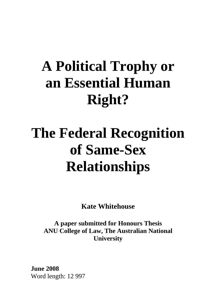# **A Political Trophy or an Essential Human Right?**

# **The Federal Recognition of Same-Sex Relationships**

**Kate Whitehouse** 

**A paper submitted for Honours Thesis ANU College of Law, The Australian National University** 

**June 2008**  Word length: 12 997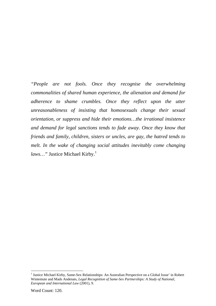*"People are not fools. Once they recognise the overwhelming commonalities of shared human experience, the alienation and demand for adherence to shame crumbles. Once they reflect upon the utter unreasonableness of insisting that homosexuals change their sexual orientation, or suppress and hide their emotions…the irrational insistence and demand for legal sanctions tends to fade away. Once they know that friends and family, children, sisters or uncles, are gay, the hatred tends to melt. In the wake of changing social attitudes inevitably come changing laws...*" Justice Michael Kirby.<sup>1</sup>

<sup>&</sup>lt;sup>1</sup> Justice Michael Kirby, Same-Sex Relationships: An Australian Perspective on a Global Issue' in Robert Wintemute and Mads Andenæs, *Legal Recognition of Same-Sex Partnerships: A Study of National, European and International Law* (2001), 9.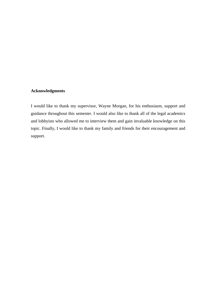#### **Acknowledgments**

I would like to thank my supervisor, Wayne Morgan, for his enthusiasm, support and guidance throughout this semester. I would also like to thank all of the legal academics and lobbyists who allowed me to interview them and gain invaluable knowledge on this topic. Finally, I would like to thank my family and friends for their encouragement and support.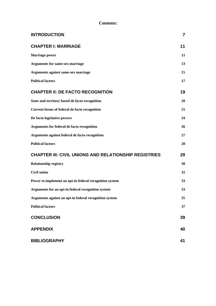#### **Contents:**

| <b>INTRODUCTION</b>                                     | $\overline{7}$ |
|---------------------------------------------------------|----------------|
| <b>CHAPTER I: MARRIAGE</b>                              | 11             |
| <b>Marriage power</b>                                   | 11             |
| <b>Arguments for same-sex marriage</b>                  | 13             |
| Arguments against same-sex marriage                     | 15             |
| <b>Political factors</b>                                | 17             |
| <b>CHAPTER II: DE FACTO RECOGNITION</b>                 | 19             |
| State and territory based de facto recognition          | 20             |
| <b>Current forms of federal de facto recognition</b>    | 21             |
| De facto legislative powers                             | 24             |
| Arguments for federal de facto recognition              | 26             |
| Arguments against federal de facto recognition          | 27             |
| <b>Political factors</b>                                | 28             |
| CHAPTER III: CIVIL UNIONS AND RELATIONSHIP REGISTRIES   | 29             |
| <b>Relationship registry</b>                            | 30             |
| <b>Civil union</b>                                      | 32             |
| Power to implement an opt-in federal recognition system | 33             |
| Arguments for an opt-in federal recognition system      | 33             |
| Arguments against an opt-in federal recognition system  | 35             |
| <b>Political factors</b>                                | 37             |
| <b>CONCLUSION</b>                                       | 39             |
| <b>APPENDIX</b>                                         | 40             |
| <b>BIBLIOGRAPHY</b>                                     | 41             |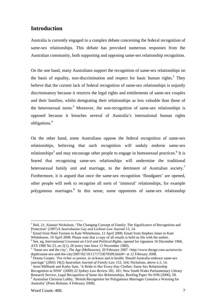# **Introduction**

Australia is currently engaged in a complex debate concerning the federal recognition of same-sex relationships. This debate has provoked numerous responses from the Australian community, both supporting and opposing same-sex relationship recognition.

On the one hand, many Australians support the recognition of same-sex relationships on the basis of equality, non-discrimination and respect for basic human rights.<sup>2</sup> They believe that the current lack of federal recognition of same-sex relationships is unjustly discriminatory because it restricts the legal rights and entitlements of same-sex couples and their families, whilst denigrating their relationships as less valuable than those of the heterosexual norm.<sup>3</sup> Moreover, the non-recognition of same-sex relationships is opposed because it breaches several of Australia's international human rights obligations.<sup>4</sup>

On the other hand, some Australians oppose the federal recognition of same-sex relationships, believing that such recognition will unduly endorse same-sex relationships<sup>5</sup> and may encourage other people to engage in homosexual practices.<sup>6</sup> It is feared that recognising same-sex relationships will undermine the traditional heterosexual family unit and marriage, to the detriment of Australian society.<sup>7</sup> Furthermore, it is argued that once the same-sex recognition 'floodgates' are opened, other people will seek to recognise all sorts of 'immoral' relationships, for example polygamous marriages.<sup>8</sup> In this sense, some opponents of same-sex relationship

 $3$  Email from Peter Furness to Kate Whitehouse, 12 April 2008; Email from Stephen Jones to Kate Whitehouse, 10 April 2008. Please note that a copy of all emails is held on file with the author.<sup>4</sup>

 $<sup>7</sup>$  Jenni Millbank and Kathy Sant, 'A Bride in Her Every-Day Clothes: Same Sex Relationship</sup> Recognition in NSW' (2000) 22 *Sydney Law Review* 181, 181; New South Wales Parliamentary Library Research Service, *Legal Recognition of Same-Sex Relationships*, Briefing Paper No 9/06 (2006), 58.

 $2$  Ibid, 21; Alastair Nicholson, 'The Changing Concept of Family: The Significance of Recognition and Protection' (1997) 6 *Australasian Gay and Lesbian Law Journal* 13, 14.

<sup>&</sup>lt;sup>4</sup> See, eg, *International Covenant on Civil and Political Rights, opened for signature 16 December 1966,* ATS 1980 No 23, art 2(1), 26 (entry into force 13 November 1980).

<sup>&</sup>lt;sup>5</sup> 'Same sex and the city', *The Age* (Melbourne), 20 February 2007 <http://www.theage.com.au/news/indepth/same-sex-and-the-city/2007/02/19/1171733679309.html#> at 12 February 2008.

<sup>&</sup>lt;sup>6</sup> Donna Cooper, 'For richer or poorer, in sickness and in health: Should Australia embrace same-sex marriage' (2005) 19(2) *Australian Journal of Family Law* 153, 164; Nicholson, above n 2, 14. 7

Australian Christian Lobby, 'British Recognition for Polygamous Marriages Contains a Warning for Australia' (Press Release, 4 February 2008).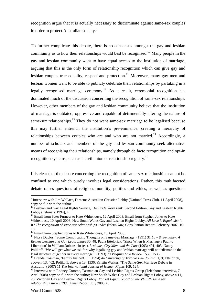recognition argue that it is actually necessary to discriminate against same-sex couples in order to protect Australian society.<sup>9</sup>

To further complicate this debate, there is no consensus amongst the gay and lesbian community as to how their relationships would best be recognised.<sup>10</sup> Many people in the gay and lesbian community want to have equal access to the institution of marriage, arguing that this is the only form of relationship recognition which can give gay and lesbian couples true equality, respect and protection.<sup>11</sup> Moreover, many gay men and lesbian women want to be able to publicly celebrate their relationships by partaking in a legally recognised marriage ceremony.<sup>12</sup> As a result, ceremonial recognition has dominated much of the discussion concerning the recognition of same-sex relationships. However, other members of the gay and lesbian community believe that the institution of marriage is outdated, oppressive and capable of detrimentally altering the nature of same-sex relationships. $^{13}$  They do not want same-sex marriage to be legalised because this may further entrench the institution's pre-eminence, creating a hierarchy of relationships between couples who are and who are not married.<sup>14</sup> Accordingly, a number of scholars and members of the gay and lesbian community seek alternative means of recognising their relationships, namely through de facto recognition and opt-in recognition systems, such as a civil union or relationship registry.15

It is clear that the debate concerning the recognition of same-sex relationships cannot be confined to one which purely involves legal considerations. Rather, this multifaceted debate raises questions of religion, morality, politics and ethics, as well as questions

<sup>&</sup>lt;sup>9</sup> Interview with Jim Wallace, Director Australian Christian Lobby (National Press Club, 11 April 2008), copy on file with the author.

<sup>10</sup> Lesbian and Gay Legal Rights Service, *The Bride Wore Pink*, Second Edition, Gay and Lesbian Rights Lobby (February 1994), 4.

 $11$  Email from Peter Furness to Kate Whitehouse, 12 April 2008; Email from Stephen Jones to Kate Whitehouse, 10 April 2008; New South Wales Gay and Lesbian Rights Lobby, *All Love is Equal…Isn't It? The recognition of same-sex relationships under federal law*, Consultation Report, February 2007, 16- 18.<br><sup>12</sup> Email from Stephen Jones to Kate Whitehouse, 10 April 2008.

<sup>&</sup>lt;sup>13</sup> Nitya Duclos, 'Some Complicating Thoughts on Same-Sex Marriage' (1991) 31 *Law & Sexuality: A Review Lesbian and Gay Legal Issues* 30, 48; Paula Ettelbrick, 'Since When Is Marriage a Path to Liberation' in William Rubenstein (ed), *Lesbians, Gay Men, and the Law* (1993) 401, 403; Nancy Polikoff, 'We will get what we ask for: why legalizing gay and lesbian marriage will not "dismantle the legal structure of gender in every marriage"' (1993) 79 *Virginia Law Review* 1535, 1536.<br><sup>14</sup> Brenda Cossman, 'Family Inside/Out' (1994) 44 *University of Toronto Law Journal* 1, 9; Ettelbrick,

above n 13, 402; Polikoff, above n 13, 1536; Kristin Walker, 'The Same-Sex Marriage Debate in Australia' (2007) 11 *The International Journal of Human Rights* 109, 124.<br><sup>15</sup> Interview with Rodney Croome, Tasmanian Gay and Lesbian Rights Group (Telephone interview, 7

April 2008) copy on file with the author; New South Wales Gay and Lesbian Rights Lobby, above n 11, 25; Victorian Gay and Lesbian Rights Lobby, *Not Yet Equal: report on the VGLRL same sex relationships survey 2005*, Final Report, July 2005, 6.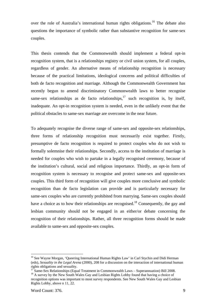over the role of Australia's international human rights obligations.<sup>16</sup> The debate also questions the importance of symbolic rather than substantive recognition for same-sex couples.

This thesis contends that the Commonwealth should implement a federal opt-in recognition system, that is a relationships registry or civil union system, for all couples, regardless of gender. An alternative means of relationship recognition is necessary because of the practical limitations, ideological concerns and political difficulties of both de facto recognition and marriage. Although the Commonwealth Government has recently begun to amend discriminatory Commonwealth laws to better recognise same-sex relationships as de facto relationships, $17 \text{ such recognition is, by itself,}$ inadequate. An opt-in recognition system is needed, even in the unlikely event that the political obstacles to same-sex marriage are overcome in the near future.

To adequately recognise the diverse range of same-sex and opposite-sex relationships, three forms of relationship recognition must necessarily exist together. Firstly, presumptive de facto recognition is required to protect couples who do not wish to formally solemnise their relationships. Secondly, access to the institution of marriage is needed for couples who wish to partake in a legally recognised ceremony, because of the institution's cultural, social and religious importance. Thirdly, an opt-in form of recognition system is necessary to recognise and protect same-sex and opposite-sex couples. This third form of recognition will give couples more conclusive and symbolic recognition than de facto legislation can provide and is particularly necessary for same-sex couples who are currently prohibited from marrying. Same-sex couples should have a choice as to how their relationships are recognised.<sup>18</sup> Consequently, the gay and lesbian community should not be engaged in an either/or debate concerning the recognition of their relationships. Rather, all three recognition forms should be made available to same-sex and opposite-sex couples.

<sup>&</sup>lt;sup>16</sup> See Wayne Morgan, 'Oueering International Human Rights Law' in Carl Stychin and Didi Herman (eds), *Sexuality in the Legal Arena* (2000), 208 for a discussion on the interaction of international human rights obligations and sexuality.

 $17$  Same-Sex Relationships (Equal Treatment in Commonwealth Laws – Superannuation) Bill 2008. <sup>18</sup> A survey by the New South Wales Gay and Lesbian Rights Lobby found that having a choice of recognition options was important to most survey respondents. See New South Wales Gay and Lesbian Rights Lobby, above n 11, 22.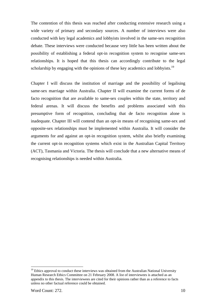The contention of this thesis was reached after conducting extensive research using a wide variety of primary and secondary sources. A number of interviews were also conducted with key legal academics and lobbyists involved in the same-sex recognition debate. These interviews were conducted because very little has been written about the possibility of establishing a federal opt-in recognition system to recognise same-sex relationships. It is hoped that this thesis can accordingly contribute to the legal scholarship by engaging with the opinions of these key academics and lobbyists.<sup>19</sup>

Chapter I will discuss the institution of marriage and the possibility of legalising same-sex marriage within Australia. Chapter II will examine the current forms of de facto recognition that are available to same-sex couples within the state, territory and federal arenas. It will discuss the benefits and problems associated with this presumptive form of recognition, concluding that de facto recognition alone is inadequate. Chapter III will contend than an opt-in means of recognising same-sex and opposite-sex relationships must be implemented within Australia. It will consider the arguments for and against an opt-in recognition system, whilst also briefly examining the current opt-in recognition systems which exist in the Australian Capital Territory (ACT), Tasmania and Victoria. The thesis will conclude that a new alternative means of recognising relationships is needed within Australia.

 $\overline{a}$  $19$  Ethics approval to conduct these interviews was obtained from the Australian National University Human Research Ethics Committee on 21 February 2008. A list of interviewees is attached as an appendix to this thesis. The interviewees are cited for their opinions rather than as a reference to facts unless no other factual reference could be obtained.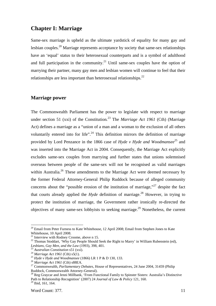# **Chapter I: Marriage**

Same-sex marriage is upheld as the ultimate yardstick of equality for many gay and lesbian couples.<sup>20</sup> Marriage represents acceptance by society that same-sex relationships have an 'equal' status to their heterosexual counterparts and is a symbol of adulthood and full participation in the community.<sup>21</sup> Until same-sex couples have the option of marrying their partner, many gay men and lesbian women will continue to feel that their relationships are less important than heterosexual relationships.<sup>22</sup>

#### **Marriage power**

The Commonwealth Parliament has the power to legislate with respect to marriage under section 51 (xxi) of the Constitution*.* 23 The *Marriage Act 1961* (Cth) (Marriage Act) defines a marriage as a "union of a man and a woman to the exclusion of all others voluntarily entered into for life".<sup>24</sup> This definition mirrors the definition of marriage provided by Lord Penzance in the 1866 case of *Hyde v Hyde and Woodmansee*<sup>25</sup> and was inserted into the Marriage Act in 2004. Consequently, the Marriage Act explicitly excludes same-sex couples from marrying and further states that unions solemnised overseas between people of the same-sex will not be recognised as valid marriages within Australia.<sup>26</sup> These amendments to the Marriage Act were deemed necessary by the former Federal Attorney-General Philip Ruddock because of alleged community concerns about the "possible erosion of the institution of marriage,"<sup>27</sup> despite the fact that courts already applied the *Hyde* definition of marriage.<sup>28</sup> However, in trying to protect the institution of marriage, the Government rather ironically re-directed the objectives of many same-sex lobbyists to seeking marriage.<sup>29</sup> Nonetheless, the current

 $20$  Email from Peter Furness to Kate Whitehouse, 12 April 2008; Email from Stephen Jones to Kate Whitehouse, 10 April 2008.

 $21$  Interview with Rodney Croome, above n 15.

<sup>&</sup>lt;sup>22</sup> Thomas Stoddart, 'Why Gay People Should Seek the Right to Marry' in William Rubenstein (ed), *Lesbians. Gay Men. and the Law* (1993). 398, 401.

<sup>&</sup>lt;sup>23</sup> Australian Constitution s51 (xxi).<br>
<sup>24</sup> Marriage Act 1961 (Cth) s5(1).<br>
<sup>25</sup> Hyde v Hyde and Woodmansee (1866) LR 1 P & D 130, 133.<br>
<sup>26</sup> Marriage Act 1961 (Cth) s88EA.<br>
<sup>27</sup> Commonwealth, *Parliamentary Debates*, H

<sup>&</sup>lt;sup>28</sup> Reg Graycar and Jenni Millbank, 'From Functional Family to Spinster Sisters: Australia's Distinctive Path to Relationship Recognition' (2007) 24 *Journal of Law & Policy* 121, 160.

<sup>29</sup> Ibid, 161, 164.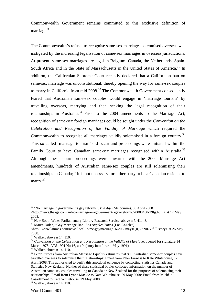Commonwealth Government remains committed to this exclusive definition of marriage.<sup>30</sup>

The Commonwealth's refusal to recognise same-sex marriages solemnised overseas was instigated by the increasing legalisation of same-sex marriages in overseas jurisdictions. At present, same-sex marriages are legal in Belgium, Canada, the Netherlands, Spain, South Africa and in the State of Massachusetts in the United States of America.<sup>31</sup> In addition, the Californian Supreme Court recently declared that a Californian ban on same-sex marriage was unconstitutional, thereby opening the way for same-sex couples to marry in California from mid  $2008$ <sup>32</sup>. The Commonwealth Government consequently feared that Australian same-sex couples would engage in 'marriage tourism' by travelling overseas, marrying and then seeking the legal recognition of their relationships in Australia.<sup>33</sup> Prior to the  $2004$  amendments to the Marriage Act, recognition of same-sex foreign marriages could be sought under the *Convention on the Celebration and Recognition of the Validity of Marriage* which required the Commonwealth to recognise all marriages validly solemnised in a foreign country*.* 34 This so-called 'marriage tourism' did occur and proceedings were initiated within the Family Court to have Canadian same-sex marriages recognised within Australia.<sup>35</sup> Although these court proceedings were thwarted with the 2004 Marriage Act amendments, hundreds of Australian same-sex couples are still solemnising their relationships in Canada; $^{36}$  it is not necessary for either party to be a Canadian resident to marry.<sup>37</sup>

<sup>30 &#</sup>x27;No marriage in government's gay reforms', *The Age* (Melbourne), 30 April 2008 <http://news.theage.com.au/no-marriage-in-governments-gay-reforms/20080430-29fg.html> at 12 May 2008.

<sup>&</sup>lt;sup>31</sup> New South Wales Parliamentary Library Research Service, above n 7, 41, 48.<br><sup>32</sup> Maura Dolan, 'Gay Marriage Ban' *Los Angeles Times* (Los Angeles)

 $\lt$ http://www.latimes.com/news/local/la-me-gaymarriage16-2008may16,0,3999077,full.story> at 26 May 2008.

<sup>33</sup> Walker, above n 14, 110.

<sup>&</sup>lt;sup>34</sup> Convention on the Celebration and Recognition of the Validity of Marriage, opened for signature 14 March 1978, ATS 1991 No 16, art 9, (entry into force 1 May 1991).

 $35$  Walker, above n 14, 110.

<sup>&</sup>lt;sup>36</sup> Peter Furness from Australian Marriage Equality estimates that 800 Australian same-sex couples have travelled overseas to solemnise their relationships: Email from Peter Furness to Kate Whitehouse, 12 April 2008. The author tried to verify this anecdotal evidence by contacting Statistics Canada and Statistics New Zealand. Neither of these statistical bodies collected information on the number of Australian same-sex couples travelling to Canada or New Zealand for the purposes of solemnising their relationships: Email from Lynne Mackie to Kate Whitehouse, 29 May 2008; Email from Michèle Casademont to Kate Whitehouse, 29 May 2008.

 $37$  Walker, above n 14, 110.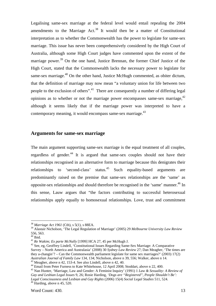Legalising same-sex marriage at the federal level would entail repealing the 2004 amendments to the Marriage Act.<sup>38</sup> It would then be a matter of Constitutional interpretation as to whether the Commonwealth has the power to legislate for same-sex marriage. This issue has never been comprehensively considered by the High Court of Australia, although some High Court judges have commented upon the extent of the marriage power.<sup>39</sup> On the one hand, Justice Brennan, the former Chief Justice of the High Court, stated that the Commonwealth lacks the necessary power to legislate for same-sex marriage. $40$  On the other hand, Justice McHugh commented, as obiter dictum, that the definition of marriage may now mean "a voluntary union for life between two people to the exclusion of others".41 There are consequently a number of differing legal opinions as to whether or not the marriage power encompasses same-sex marriage, $42$ although it seems likely that if the marriage power was interpreted to have a contemporary meaning, it would encompass same-sex marriage. $43$ 

# **Arguments for same-sex marriage**

The main argument supporting same-sex marriage is the equal treatment of all couples, regardless of gender.<sup>44</sup> It is argued that same-sex couples should not have their relationships recognised in an alternative form to marriage because this denigrates their relationships to 'second-class' status.<sup>45</sup> Such equality-based arguments are predominantly raised on the premise that same-sex relationships are the 'same' as opposite-sex relationships and should therefore be recognised in the 'same' manner.<sup>46</sup> In this sense, Lauw argues that "the factors contributing to successful heterosexual relationships apply equally to homosexual relationships. Love, trust and commitment

<sup>38</sup> *Marriage Act 1961* (Cth), s 5(1), s 88EA.

<sup>39</sup> Alastair Nicholson, 'The Legal Regulation of Marriage' (2005) 29 *Melbourne University Law Review* 556, 563.

<sup>&</sup>lt;sup>40</sup> Ibid.<br><sup>41</sup> Re Wakim; Ex parte McNally [1999] HCA 27, 45 per McHugh J.

<sup>&</sup>lt;sup>42</sup> See, eg, Geoffrey Lindell, 'Constitutional Issues Regarding Same-Sex Marriage: A Comparative Survey – North America and Australasia' (2008) 30 *Sydney Law Review* 27; Dan Meagher, 'The times are they a-changin'? – Can the Commonwealth parliament legislate for same sex marriages?' (2003) 17(2) Australian Journal of Family Law 134, 134; Nicholson, above n 39, 556; Walker, above n 14.<br><sup>43</sup> Meagher, above n 42, 153-4. See also Lindell, above n 42, 40.<br><sup>44</sup> Email from Peter Furness to Kate Whitehouse, 12 April 2008;

<sup>45</sup> Nan Hunter, 'Marriage, Law and Gender: A Feminist Inquiry' (1991) 1 *Law & Sexuality: A Review of Gay and Lesbian Legal Issues* 9, 26; Rosie Harding, *'Dogs are "Registered", People Shouldn't Be': Legal Consciousness and Lesbian and Gay Rights* (2006) 15(4) *Social Legal Studies* 511, 524. 46 Harding, above n 45, 520.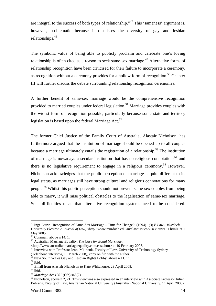are integral to the success of both types of relationship."<sup>47</sup> This 'sameness' argument is, however, problematic because it dismisses the diversity of gay and lesbian relationships.48

The symbolic value of being able to publicly proclaim and celebrate one's loving relationship is often cited as a reason to seek same-sex marriage.<sup>49</sup> Alternative forms of relationship recognition have been criticised for their failure to incorporate a ceremony, as recognition without a ceremony provides for a hollow form of recognition.<sup>50</sup> Chapter III will further discuss the debate surrounding relationship recognition ceremonies.

A further benefit of same-sex marriage would be the comprehensive recognition provided to married couples under federal legislation.<sup>51</sup> Marriage provides couples with the widest form of recognition possible, particularly because some state and territory legislation is based upon the federal Marriage Act.<sup>52</sup>

The former Chief Justice of the Family Court of Australia, Alastair Nicholson, has furthermore argued that the institution of marriage should be opened up to all couples because a marriage ultimately entails the registration of a relationship.<sup>53</sup> The institution of marriage is nowadays a secular institution that has no religious connotations<sup>54</sup> and there is no legislative requirement to engage in a religious ceremony.<sup>55</sup> However, Nicholson acknowledges that the public perception of marriage is quite different to its legal status, as marriages still have strong cultural and religious connotations for many people.56 Whilst this public perception should not prevent same-sex couples from being able to marry, it will raise political obstacles to the legalisation of same-sex marriage. Such difficulties mean that alternative recognition systems need to be considered.

<sup>47</sup> Inge Lauw, 'Recognition of Same-Sex Marriage – Time for Change?' (1994) 1(3) *E Law - Murdoch University Electronic Journal of Law*, <http://www.murdoch.edu.au/elaw/issues/v1n3/lauw131.html> at 1 May 2005.

<sup>48</sup> Cossman, above n 14, 1.

<sup>49</sup> Australian Marriage Equality, *The Case for Equal Marriage*,

<sup>&</sup>lt;sup>50</sup> Interview with Professor Jenni Millbank, Faculty of Law, University of Technology Sydney

<sup>(</sup>Telephone interview, 19 March 2008), copy on file with the author.

 $51$  New South Wales Gay and Lesbian Rights Lobby, above n 11, 11.

 $^{52}$  Ibid.

<sup>&</sup>lt;sup>53</sup> Email from Alastair Nicholson to Kate Whitehouse, 29 April 2008.<br><sup>54</sup> Ibid.<br><sup>55</sup> Marriage Act 1961 (Cth) s45(2).

<sup>&</sup>lt;sup>56</sup> Nicholson, above n 2, 21. This view was also expressed in an interview with Associate Professor Juliet Behrens, Faculty of Law, Australian National University (Australian National University, 11 April 2008).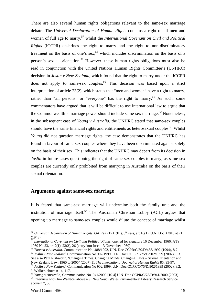There are also several human rights obligations relevant to the same-sex marriage debate. The *Universal Declaration of Human Rights* contains a right of all men and women of full age to marry,<sup>57</sup> whilst the *International Covenant on Civil and Political Rights* (ICCPR) enshrines the right to marry and the right to non-discriminatory treatment on the basis of one's sex,<sup>58</sup> which includes discrimination on the basis of a person's sexual orientation.59 However, these human rights obligations must also be read in conjunction with the United Nations Human Rights Committee's (UNHRC) decision in *Joslin v New Zealand*, which found that the right to marry under the ICCPR does not apply to same-sex couples. $60$  This decision was based upon a strict interpretation of article 23(2), which states that "men and women" have a right to marry, rather than "all persons" or "everyone" has the right to marry.<sup>61</sup> As such, some commentators have argued that it will be difficult to use international law to argue that the Commonwealth's marriage power should include same-sex marriage.<sup> $62$ </sup> Nonetheless, in the subsequent case of *Young v Australia*, the UNHRC stated that same-sex couples should have the same financial rights and entitlements as heterosexual couples.<sup>63</sup> Whilst *Young* did not question marriage rights, the case demonstrates that the UNHRC has found in favour of same-sex couples where they have been discriminated against solely on the basis of their sex. This indicates that the UNHRC may depart from its decision in *Joslin* in future cases questioning the right of same-sex couples to marry, as same-sex couples are currently only prohibited from marrying in Australia on the basis of their sexual orientation.

### **Arguments against same-sex marriage**

It is feared that same-sex marriage will undermine both the family unit and the institution of marriage itself. $64$  The Australian Christian Lobby (ACL) argues that opening up marriage to same-sex couples would dilute the concept of marriage whilst

<sup>57</sup> *Universal Declaration of Human Rights,* GA Res 217A (III), 3rd sess, art 16(1), U.N. Doc A/810 at 71 (1948).

<sup>&</sup>lt;sup>58</sup> International Covenant on Civil and Political Rights, opened for signature 16 December 1966, ATS 1980 No 23, art 2(1), 23(2), 26 (entry into force 13 November 1980).<br><sup>59</sup> Toonen v Australia, Communication No. 488/1992, U.N. Doc CCPR/C/50/D/488/1992 (1994), 8.7

<sup>&</sup>lt;sup>60</sup> *Joslin v New Zealand*, Communication No 902/1999, U.N. Doc CCPR/C/75/D/902/1999 (2002), 8.3. See also Paul Rishworth, 'Changing Times, Changing Minds, Changing Laws – Sexual Orientation and

New Zealand Law, 1960 to 2005' (2007) 11 The International Journal of Human Rights 85, 95-97.<br><sup>61</sup> Joslin v New Zealand, Communication No 902/1999, U.N. Doc CCPR/C/75/D/902/1999 (2002), 8.2.<br><sup>62</sup> Walker. above n 14. 117.

<sup>&</sup>lt;sup>63</sup> *Young v Australia, Communication No.* 941/2000 [10.4] U.N. Doc CCPR/C/78/D/941/2000 (2003).<br><sup>64</sup> Interview with Jim Wallace, above n 9; New South Wales Parliamentary Library Research Service, above n 7, 58.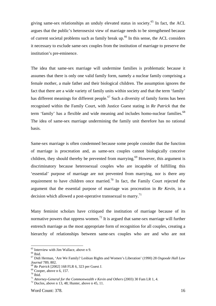giving same-sex relationships an unduly elevated status in society.<sup>65</sup> In fact, the ACL argues that the public's heterosexist view of marriage needs to be strengthened because of current societal problems such as family break up.<sup>66</sup> In this sense, the ACL considers it necessary to exclude same-sex couples from the institution of marriage to preserve the institution's pre-eminence.

The idea that same-sex marriage will undermine families is problematic because it assumes that there is only one valid family form, namely a nuclear family comprising a female mother, a male father and their biological children. The assumption ignores the fact that there are a wide variety of family units within society and that the term 'family' has different meanings for different people.<sup>67</sup> Such a diversity of family forms has been recognised within the Family Court, with Justice Guest stating in *Re Patrick* that the term 'family' has a flexible and wide meaning and includes homo-nuclear families.<sup>68</sup> The idea of same-sex marriage undermining the family unit therefore has no rational basis.

Same-sex marriage is often condemned because some people consider that the function of marriage is procreation and, as same-sex couples cannot biologically conceive children, they should thereby be prevented from marrying.<sup>69</sup> However, this argument is discriminatory because heterosexual couples who are incapable of fulfilling this 'essential' purpose of marriage are not prevented from marrying, nor is there any requirement to have children once married.<sup>70</sup> In fact, the Family Court rejected the argument that the essential purpose of marriage was procreation in *Re Kevin,* in a decision which allowed a post-operative transsexual to marry.<sup>71</sup>

Many feminist scholars have critiqued the institution of marriage because of its normative powers that oppress women.<sup>72</sup> It is argued that same-sex marriage will further entrench marriage as the most appropriate form of recognition for all couples, creating a hierarchy of relationships between same-sex couples who are and who are not

<sup>65</sup> Interview with Jim Wallace, above n 9.

 $\rm ^{66}$  Ibid.

<sup>67</sup> Didi Herman, 'Are We Family? Lesbian Rights and Women's Liberation' (1990) 28 *Osgoode Hall Law Journal* 789, 802.<br><sup>68</sup> *Re Patrick* [2002] 168 FLR 6, 323 per Guest J. <sup>69</sup> Cooper, above n 6, 157.

 $70$  Ibid.

<sup>&</sup>lt;sup>71</sup> *Attorney-General for the Commonwealth v Kevin and Others* (2003) 30 Fam LR 1, 4. <sup>72</sup> Duclos, above n 13, 48; Hunter, above n 45, 11.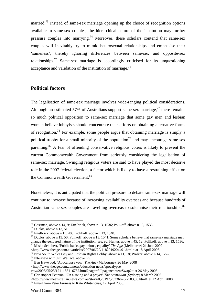married.<sup>73</sup> Instead of same-sex marriage opening up the choice of recognition options available to same-sex couples, the hierarchical nature of the institution may further pressure couples into marrying.<sup>74</sup> Moreover, these scholars contend that same-sex couples will inevitably try to mimic heterosexual relationships and emphasise their 'sameness', thereby ignoring differences between same-sex and opposite-sex relationships.<sup>75</sup> Same-sex marriage is accordingly criticised for its unquestioning acceptance and validation of the institution of marriage.<sup>76</sup>

# **Political factors**

The legalisation of same-sex marriage involves wide-ranging political considerations. Although an estimated 57% of Australians support same-sex marriage, $^{77}$  there remains so much political opposition to same-sex marriage that some gay men and lesbian women believe lobbyists should concentrate their efforts on obtaining alternative forms of recognition.78 For example, some people argue that obtaining marriage is simply a political trophy for a small minority of the population<sup>79</sup> and may encourage same-sex parenting.<sup>80</sup> A fear of offending conservative religious voters is likely to prevent the current Commonwealth Government from seriously considering the legalisation of same-sex marriage. Swinging religious voters are said to have played the most decisive role in the 2007 federal election, a factor which is likely to have a restraining effect on the Commonwealth Government.<sup>81</sup>

Nonetheless, it is anticipated that the political pressure to debate same-sex marriage will continue to increase because of increasing availability overseas and because hundreds of Australian same-sex couples are travelling overseas to solemnise their relationships.<sup>82</sup>

<sup>73</sup> Cossman, above n 14, 9; Ettelbrick, above n 13, 1536; Polikoff, above n 13, 1536.

 $74$  Duclos, above n 13, 51.

<sup>75</sup> Ettelbrick, above n 13, 403; Polikoff, above n 13, 1540.

<sup>&</sup>lt;sup>76</sup> Duclos, above n 13, 50; Polikoff, above n 13, 1541. Some scholars believe that same-sex marriage may change the gendered nature of the institution: see, eg. Hunter, above n 45, 12; Polikoff, above n 13, 1536. <sup>77</sup> Misha Schubert, 'Public backs gay unions, equality' *The Age* (Melbourne) 21 June 2007

<sup>&</sup>lt;http://www.theage.com.au/articles/2007/06/20/1182019204491.html> at 18 April 2008.

<sup>&</sup>lt;sup>78</sup> New South Wales Gay and Lesbian Rights Lobby, above n 11, 18; Walker, above n 14, 122-3.

<sup>79</sup> Interview with Jim Wallace, above n 9.

<sup>80</sup> Ben Haywood, 'Apocalypse vow' *The Age* (Melbourne), 26 May 2008

<sup>&</sup>lt;http://www.theage.com.au/news/education-news/apocalypse-

vow/2008/05/23/1211183116787.html?page=fullpage#contentSwap2> at 26 May 2008.

<sup>81</sup> Christopher Pearson, 'On a swing and a prayer' *The Australian* (Sydney) 8 March 2008

<sup>&</sup>lt;http://www.theaustralian.news.com.au/story/0,25197,23336628-7583,00.html> at 12 April 2008. 82 Email from Peter Furness to Kate Whitehouse, 12 April 2008.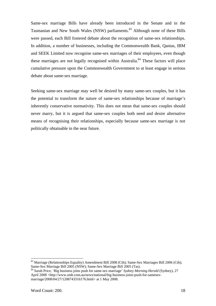Same-sex marriage Bills have already been introduced in the Senate and in the Tasmanian and New South Wales (NSW) parliaments.<sup>83</sup> Although none of these Bills were passed, each Bill fostered debate about the recognition of same-sex relationships. In addition, a number of businesses, including the Commonwealth Bank, Qantas, IBM and SEEK Limited now recognise same-sex marriages of their employees, even though these marriages are not legally recognised within Australia.<sup>84</sup> These factors will place cumulative pressure upon the Commonwealth Government to at least engage in serious debate about same-sex marriage.

Seeking same-sex marriage may well be desired by many same-sex couples, but it has the potential to transform the nature of same-sex relationships because of marriage's inherently conservative normativity. This does not mean that same-sex couples should never marry, but it is argued that same-sex couples both need and desire alternative means of recognising their relationships, especially because same-sex marriage is not politically obtainable in the near future.

<sup>&</sup>lt;sup>83</sup> Marriage (Relationships Equality) Amendment Bill 2008 (Cth); Same-Sex Marriages Bill 2006 (Cth); Same-Sex Marriage Bill 2005 (NSW); Same-Sex Marriage Bill 2005 (Tas).

<sup>84</sup> Sarah Price, 'Big business joins push for same-sex marriage' *Sydney Morning Herald* (Sydney), 27 April 2008 <http://www.smh.com.au/news/national/big-business-joins-push-for-samesexmarriage/2008/04/27/1208743316176.html> at 1 May 2008.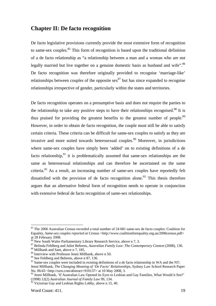# **Chapter II: De facto recognition**

De facto legislative provisions currently provide the most extensive form of recognition to same-sex couples.<sup>85</sup> This form of recognition is based upon the traditional definition of a de facto relationship as "a relationship between a man and a woman who are not legally married but live together on a genuine domestic basis as husband and wife".<sup>86</sup> De facto recognition was therefore originally provided to recognise 'marriage-like' relationships between couples of the opposite sex<sup>87</sup> but has since expanded to recognise relationships irrespective of gender, particularly within the states and territories.

De facto recognition operates on a presumptive basis and does not require the parties to the relationship to take any positive steps to have their relationships recognised.<sup>88</sup> It is thus praised for providing the greatest benefits to the greatest number of people. $89$ However, in order to obtain de facto recognition, the couple must still be able to satisfy certain criteria. These criteria can be difficult for same-sex couples to satisfy as they are invasive and more suited towards heterosexual couples.<sup>90</sup> Moreover, in jurisdictions where same-sex couples have simply been 'added' on to existing definitions of a de facto relationship, $91$  it is problematically assumed that same-sex relationships are the same as heterosexual relationships and can therefore be ascertained on the same criteria.<sup>92</sup> As a result, an increasing number of same-sex couples have reportedly felt dissatisfied with the provision of de facto recognition alone.<sup>93</sup> This thesis therefore argues that an alternative federal form of recognition needs to operate in conjunction with extensive federal de facto recognition of same-sex relationships.

<sup>85</sup> The 2006 Australian Census recorded a total number of 24 681 same-sex de facto couples: Coalition for Equality, *Same-sex couples reported at Census* < http://www.coalitionforequality.org.au/2006census.pdf> at 28 February 2008.<br><sup>86</sup> New South Wales Parliamentary Library Research Service, above n 7, 3.

<sup>&</sup>lt;sup>87</sup> Belinda Fehlberg and Juliet Behrens, *Australian Family Law: The Contemporary Context* (2008), 136. <sup>88</sup> Millbank and Sant, above n 7, 185.

<sup>89</sup> Interview with Professor Jenni Millbank, above n 50.

<sup>90</sup> See Fehlberg and Behrens, above n 87, 136.

<sup>&</sup>lt;sup>91</sup> Same-sex couples were included in existing definitions of a de facto relationship in WA and the NT: Jenni Millbank, *The Changing Meaning of 'De Facto' Relationships*, Sydney Law School Research Paper No. 06/43 <http://ssrn.com/abstract=910137> at 10 May 2008, 3.

 $92$  Jenni Millbank, 'If Australian Law Opened its Eyes to Lesbian and Gay Families, What Would it See?' (1998) 12(2) *Australian Journal of Family Law* 99, 134.

 $93$  Victorian Gay and Lesbian Rights Lobby, above n 15, 40.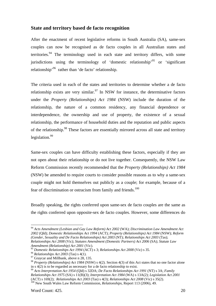# **State and territory based de facto recognition**

After the enactment of recent legislative reforms in South Australia (SA), same-sex couples can now be recognised as de facto couples in all Australian states and territories. <sup>94</sup> The terminology used in each state and territory differs, with some jurisdictions using the terminology of 'domestic relationship'<sup>95</sup> or 'significant relationship'96 rather than 'de facto' relationship.

The criteria used in each of the states and territories to determine whether a de facto relationship exists are very similar.<sup>97</sup> In NSW for instance, the determinative factors under the *Property (Relationships) Act 1984* (NSW) include the duration of the relationship, the nature of a common residency, any financial dependence or interdependence, the ownership and use of property, the existence of a sexual relationship, the performance of household duties and the reputation and public aspects of the relationship.<sup>98</sup> These factors are essentially mirrored across all state and territory legislation.<sup>99</sup>

Same-sex couples can have difficulty establishing these factors, especially if they are not open about their relationship or do not live together. Consequently, the NSW Law Reform Commission recently recommended that the *Property (Relationships) Act 1984*  (NSW) be amended to require courts to consider possible reasons as to why a same-sex couple might not hold themselves out publicly as a couple; for example, because of a fear of discrimination or ostracism from family and friends.<sup>100</sup>

Broadly speaking, the rights conferred upon same-sex de facto couples are the same as the rights conferred upon opposite-sex de facto couples. However, some differences do

<sup>94</sup> *Acts Amendment (Lesbian and Gay Law Reform) Act 2002* (WA); *Discrimination Law Amendment Act 2002* (Qld); *Domestic Relationships Act 1994* (ACT); *Property (Relationships) Act 1984* (NSW); *Reform (Gender, Sexuality and De Facto Relationships) Act 2003* (NT); *Relationships Act 2003* (Tas); *Relationships Act 2008* (Vic); *Statutes Amendment (Domestic Partners) Act 2006* (SA); *Statute Law Amendment (Relationship) Act 2001* (Vic).

<sup>&</sup>lt;sup>95</sup> Domestic Relationships Act 1994 (ACT) s 3; *Relationships Act 2008* (Vic) s 35.<br><sup>96</sup> *Relationships Act 2003* (Tas) s 4(1).<br><sup>97</sup> Graycar and Millbank, above n 28, 135.

<sup>98</sup> *Property (Relationships) Act 1984* (NSW) s 4(2). Section 4(3) of this Act states that no one factor alone in s 4(2) is to be regarded as necessary for a de facto relationship to exist.

<sup>99</sup> *Acts Interpretation Act 1954* (Qld) s 32DA; *De Facto Relationships Act 1991* (NT) s 3A; *Family Relationships Act 1975* (SA) s 11(B)(3); *Interpretation Act 1984* (WA) s 13A(2); *Legislation Act 2001*  (ACT) s 169(2); *Relationships Act 2003* (Tas) s 4(3); *Relationships Act 2008* (Vic) s 35(2). 100 New South Wales Law Reform Commission, *Relationships*, Report 113 (2006), 49.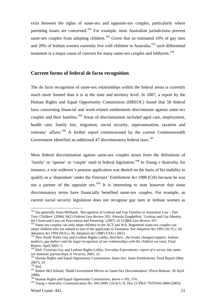exist between the rights of same-sex and opposite-sex couples, particularly where parenting issues are concerned.<sup>101</sup> For example, most Australian jurisdictions prevent same-sex couples from adopting children.<sup>102</sup> Given that an estimated 10% of gay men and 20% of lesbian women currently live with children in Australia,  $103$  such differential treatment is a major cause of concern for many same-sex couples and lobbyists.<sup>104</sup>

### **Current forms of federal de facto recognition**

The de facto recognition of same-sex relationships within the federal arena is currently much more limited than it is at the state and territory level. In 2007, a report by the Human Rights and Equal Opportunity Commission (HREOC) found that 58 federal laws concerning financial and work-related entitlements discriminate against same-sex couples and their families.<sup>105</sup> Areas of discrimination included aged care, employment, health care, family law, migration, social security, superannuation, taxation and veterans' affairs.<sup>106</sup> A further report commissioned by the current Commonwealth Government identified an additional 47 discriminatory federal laws.<sup>107</sup>

Most federal discrimination against same-sex couples arises from the definitions of 'family' or 'spouse' or 'couple' used in federal legislation.108 In *Young v Australia*, for instance, a war widower's pension application was denied on the basis of his inability to qualify as a 'dependant' under the *Veterans' Entitlement Act 1986* (Cth) because he was not a partner of the opposite sex.<sup>109</sup> It is interesting to note however that some discriminatory terms have financially benefited same-sex couples. For example, as current social security legislation does not recognise gay men or lesbian women as

<sup>&</sup>lt;sup>101</sup> See generally Jenni Millbank, 'Recognition of Lesbian and Gay Families in Australian Law – Part Two: Children' (2006) 34(2) *Federal Law Review* 205; Aleardo Zanghellini, 'Lesbian and Gay Identity,

<sup>&</sup>lt;sup>102</sup> Same-sex couples can only adopt children in the ACT and WA. Registered same-sex couples can adopt children who are related to one of the applicants in Tasmania. See *Adoption Act 1993* (ACT) s 18;<br>*Adoption Act 1994* (WA) s 39; *Adoption Act 1988* (TAS) s 20(1).

<sup>&</sup>lt;sup>103</sup> New South Wales Gay and Lesbian Rights Lobby, *And then…the brides changed nappies: lesbian mothers, gay fathers and the legal recognition of our relationships with the children we raise*, Final Report, April 2003, 5.

<sup>104</sup> Ibid; Victorian Gay and Lesbian Rights Lobby, *Everyday Experiments: report of a survey into same-*

*sex domestic partnerships in Victoria*, 2001, 15. 105 Human Rights and Equal Opportunity Commission, *Same-Sex: Same Entitlements*, Final Report (May 2007), 10.<br><sup>106</sup> Ibid.

<sup>&</sup>lt;sup>107</sup> Robert McClelland, 'Rudd Government Moves on Same-Sex Discrimination' (Press Release, 30 April 2008).

<sup>&</sup>lt;sup>108</sup> Human Rights and Equal Opportunity Commission, above n 105, 374.

<sup>109</sup> *Young v Australia,* Communication No. 941/2000, [10.4] U.N. Doc CCPR/C/78/D/941/2000 (2003).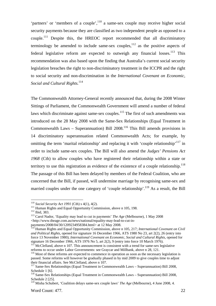'partners' or 'members of a couple',110 a same-sex couple may receive higher social security payments because they are classified as two independent people as opposed to a couple.<sup>111</sup> Despite this, the HREOC report recommended that all discriminatory terminology be amended to include same-sex couples,  $112$  as the positive aspects of federal legislative reform are expected to outweigh any financial losses.<sup>113</sup> This recommendation was also based upon the finding that Australia's current social security legislation breaches the right to non-discriminatory treatment in the ICCPR and the right to social security and non-discrimination in the *International Covenant on Economic, Social and Cultural Rights.*<sup>114</sup>

The Commonwealth Attorney-General recently announced that, during the 2008 Winter Sittings of Parliament, the Commonwealth Government will amend a number of federal laws which discriminate against same-sex couples.<sup>115</sup> The first of such amendments was introduced on the 28 May 2008 with the Same-Sex Relationships (Equal Treatment in Commonwealth Laws – Superannuation) Bill  $2008$ <sup>116</sup> This Bill amends provisions in 14 discriminatory superannuation related Commonwealth Acts; for example, by omitting the term 'marital relationship' and replacing it with 'couple relationship'<sup>117</sup> in order to include same-sex couples. The Bill will also amend the *Judges' Pensions Act 1968* (Cth) to allow couples who have registered their relationship within a state or territory to use this registration as evidence of the existence of a couple relationship.<sup>118</sup> The passage of this Bill has been delayed by members of the Federal Coalition, who are concerned that the Bill, if passed, will undermine marriage by recognising same-sex and married couples under the one category of 'couple relationship'.<sup>119</sup> As a result, the Bill

<sup>&</sup>lt;sup>110</sup> Social Security Act 1991 (Cth) s 4(1), 4(2).<br><sup>111</sup> Human Rights and Equal Opportunity Commission, above n 105, 198.<br><sup>112</sup> Ibid, 383.<br><sup>113</sup> Carol Nador, 'Equality may lead to cut in payments' *The Age* (Melbourne), 1 <http://www.theage.com.au/news/national/equality-may-lead-to-cut-inpayments/2008/04/30/1209234958384.html> at 12 May 2008.

<sup>114</sup> Human Rights and Equal Opportunity Commission, above n 105, 217; *International Covenant on Civil and Political Rights,* opened for signature 16 December 1966, ATS 1980 No 23, art 2(2), 26 (entry into force 13 November 1980); *International Covenant on Economic, Social and Cultural Rights, opened for* 

signature 16 December 1966, ATS 1976 No 5, art 2(2), 9 (entry into force 10 March 1976).  $115$  McClelland, above n 107. This announcement is consistent with a trend for same-sex legislative reforms to occur under Labor Governments: see Graycar and Millbank, above n 28, 121.

<sup>&</sup>lt;sup>116</sup> Most of these reforms are expected to commence in operation as soon as the necessary legislation is passed. Some reforms will however be gradually phased in by mid 2009 to give couples time to adjust their financial affairs. See McClelland, above n 107.

 $117$  Same-Sex Relationships (Equal Treatment in Commonwealth Laws – Superannuation) Bill 2008, Schedule 1 [6].

<sup>&</sup>lt;sup>118</sup> Same-Sex Relationships (Equal Treatment in Commonwealth Laws – Superannuation) Bill 2008, Schedule 2 [25].

<sup>119</sup> Misha Schubert, 'Coalition delays same-sex couple laws' *The Age* (Melbourne), 4 June 2008, 4.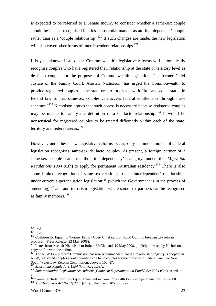is expected to be referred to a Senate Inquiry to consider whether a same-sex couple should be instead recognised in a less substantial manner as an 'interdependent' couple rather than as a 'couple relationship'.<sup>120</sup> If such changes are made, the new legislation will also cover other forms of interdependent relationships. $121$ 

It is yet unknown if all of the Commonwealth's legislative reforms will automatically recognise couples who have registered their relationship at the state or territory level as de facto couples for the purposes of Commonwealth legislation. The former Chief Justice of the Family Court, Alastair Nicholson, has urged the Commonwealth to provide registered couples at the state or territory level with "full and equal status in federal law so that same-sex couples can access federal entitlements through these schemes. $122$  Nicholson argues that such access is necessary because registered couples may be unable to satisfy the definition of a de facto relationship.<sup>123</sup> It would be nonsensical for registered couples to be treated differently within each of the state, territory and federal arenas.<sup>124</sup>

However, until these new legislative reforms occur, only a minor amount of federal legislation recognises same-sex de facto couples. At present, a foreign partner of a same-sex couple can use the 'interdependency' category under the *Migration Regulations 1994* (Cth) to apply for permanent Australian residency.<sup>125</sup> There is also some limited recognition of same-sex relationships as 'interdependent' relationships under current superannuation legislation<sup>126</sup> (which the Government is in the process of amending)<sup>127</sup> and anti-terrorism legislation where same-sex partners can be recognised as family members.<sup>128</sup>

 $120$  Ibid.

<sup>121</sup> Ibid.<br><sup>121</sup> Ibid. 122 Coalition for Equality, 'Former Family Court Chief calls on Rudd Gov't to broaden gay reform proposal' (Press Release, 22 May 2008).

<sup>&</sup>lt;sup>123</sup> Letter from Alastair Nicholson to Robert McClelland, 19 May 2008, publicly released by Nicholson, copy on file with the author.

 $124$  The NSW Law Reform Commission has also recommended that if a relationship registry is adopted in NSW, registered couples should qualify as de facto couples for the purposes of federal law. See New South Wales Law Reform Commission, above n 100, 87.<br><sup>125</sup> Migrations Regulations 1994 (Cth) Reg 1.09A.

<sup>&</sup>lt;sup>126</sup> Superannuation Legislation Amendment (Choice of Superannuation Funds) Act 2004 (Cth), schedule 2.

<sup>127</sup> Same-Sex Relationships (Equal Treatment in Commonwealth Laws – Superannuation) Bill 2008. 128 *Anti Terrorism Act (No 2) 2005* (Cth), Schedule 4, 105.35(3)(a).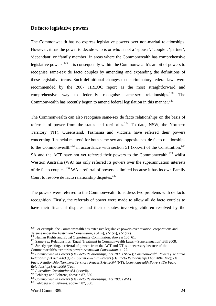# **De facto legislative powers**

The Commonwealth has no express legislative powers over non-marital relationships. However, it has the power to decide who is or who is not a 'spouse', 'couple', 'partner', 'dependant' or 'family member' in areas where the Commonwealth has comprehensive legislative powers.<sup>129</sup> It is consequently within the Commonwealth's ambit of powers to recognise same-sex de facto couples by amending and expanding the definitions of these legislative terms. Such definitional changes to discriminatory federal laws were recommended by the 2007 HREOC report as the most straightforward and comprehensive way to federally recognise same-sex relationships.<sup>130</sup> The Commonwealth has recently begun to amend federal legislation in this manner.<sup>131</sup>

The Commonwealth can also recognise same-sex de facto relationships on the basis of referrals of power from the states and territories.<sup>132</sup> To date, NSW, the Northern Territory (NT), Queensland, Tasmania and Victoria have referred their powers concerning 'financial matters' for both same-sex and opposite-sex de facto relationships to the Commonwealth<sup>133</sup> in accordance with section 51 (xxxvii) of the Constitution.<sup>134</sup> SA and the ACT have not yet referred their powers to the Commonwealth,<sup>135</sup> whilst Western Australia (WA) has only referred its powers over the superannuation interests of de facto couples.<sup>136</sup> WA's referral of powers is limited because it has its own Family Court to resolve de facto relationship disputes.<sup>137</sup>

The powers were referred to the Commonwealth to address two problems with de facto recognition. Firstly, the referrals of power were made to allow all de facto couples to have their financial disputes and their disputes involving children resolved by the

<sup>&</sup>lt;sup>129</sup> For example, the Commonwealth has extensive legislative powers over taxation, corporations and defence under the *Australian Constitution*, s 51(ii), s 51(xi), s 51(xx).

<sup>&</sup>lt;sup>130</sup> Human Rights and Equal Opportunity Commission, above n  $105$ , 61.<br><sup>131</sup> Same-Sex Relationships (Equal Treatment in Commonwealth Laws – Superannuation) Bill 2008.<br><sup>132</sup> Strictly speaking, a referral of powers from th

Commonwealth's territories power: *Australian Constitution*, *s* 122.<br><sup>133</sup> *Commonwealth Powers (De Facto Relationships) Act 2003 (NSW); <i>Commonwealth Powers (De Facto Relationships) Act 2003* (Qld); *Commonwealth Powers (De Facto Relationships) Act 2004* (Vic); *De Facto Relationship (Northern Territory Request) Act 2004* (NT); *Commonwealth Powers (De Facto* 

<sup>&</sup>lt;sup>134</sup> Australian Constitution s51 (xxxvii).<br><sup>135</sup> Fehlberg and Behrens, above n 87, 580.<br><sup>136</sup> Commonwealth Powers (De Facto Relationships) Act 2006 (WA).<br><sup>137</sup> Fehlberg and Behrens, above n 87, 580.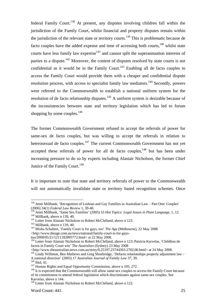federal Family Court.<sup>138</sup> At present, any disputes involving children fall within the jurisdiction of the Family Court, whilst financial and property disputes remain within the jurisdiction of the relevant state or territory courts.139 This is problematic because de facto couples have the added expense and time of accessing both courts,  $140$  whilst state courts have less family law expertise $141$  and cannot split the superannuation interests of parties to a dispute.<sup>142</sup> Moreover, the content of disputes resolved by state courts is not confidential as it would be in the Family Court.<sup>143</sup> Enabling all de facto couples to access the Family Court would provide them with a cheaper and confidential dispute resolution process, with access to specialist family law mediators.<sup>144</sup> Secondly, powers were referred to the Commonwealth to establish a national uniform system for the resolution of de facto relationship disputes.<sup>145</sup> A uniform system is desirable because of the inconsistencies between state and territory legislation which has led to forum shopping by some couples.<sup>146</sup>

The former Commonwealth Government refused to accept the referrals of power for same-sex de facto couples, but was willing to accept the referrals in relation to heterosexual de facto couples.<sup>147</sup> The current Commonwealth Government has not yet accepted these referrals of power for all de facto couples,  $148$  but has been under increasing pressure to do so by experts including Alastair Nicholson, the former Chief Justice of the Family Court.<sup>149</sup>

It is important to note that state and territory referrals of power to the Commonwealth will not automatically invalidate state or territory based recognition schemes. Once

<sup>&</sup>lt;sup>138</sup> Jenni Millbank, 'Recognition of Lesbian and Gay Families in Australian Law – Part One: Couples' (2006) 34(1) *Federal Law Review* 1, 39-40.

<sup>&</sup>lt;sup>139</sup> Jenni Millbank, 'Same Sex Families' (2005) 53 *Hot Topics: Legal Issues in Plain Language*, 1, 12.<br><sup>140</sup> Millbank, above n 139, 40.<br><sup>141</sup> Letter from Alastair Nicholson to Robert McClelland, above n 123.<br><sup>142</sup> Millb

<sup>&</sup>lt;http://www.theage.com.au/news/national/family-court-is-for-gays-

too/2008/05/21/1211182895772.html> at 22 May 2008.

<sup>&</sup>lt;sup>144</sup> Letter from Alastair Nicholson to Robert McClelland, above n 123; Patricia Karvelas, 'Childless de factos in Family Court win' *The Australian* (Sydney) 23 May 2008

<sup>&</sup>lt;http://www.theaustralian.news.com.au/story/0,25197,23744363-2702,00.html> at 24 May 2008.145 Lindy Willmott, Ben Mathews and Greg Shoebridge, 'Defacto relationships property adjustment law – A national direction' (2003) 17 Australian Journal of Family Law 37, 39.<br>
<sup>146</sup> Ibid, 41.<br>
<sup>147</sup> Human Rights and Equal Opportunity Commission, above n 105, 272.<br>
<sup>148</sup> It is expected that the Commonwealth will allow same

of its commitment to amend federal legislation which discriminates against same-sex couples. See Karvelas, above n 144.

<sup>&</sup>lt;sup>149</sup> Letter from Alastair Nicholson to Robert McClelland, above n 123.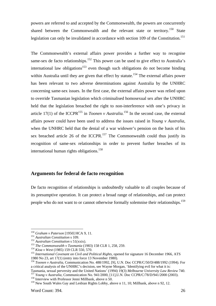powers are referred to and accepted by the Commonwealth, the powers are concurrently shared between the Commonwealth and the relevant state or territory.<sup>150</sup> State legislation can only be invalidated in accordance with section 109 of the Constitution.<sup>151</sup>

The Commonwealth's external affairs power provides a further way to recognise same-sex de facto relationships.<sup>152</sup> This power can be used to give effect to Australia's international law obligations<sup>153</sup> even though such obligations do not become binding within Australia until they are given that effect by statute.<sup>154</sup> The external affairs power has been relevant to two adverse determinations against Australia by the UNHRC concerning same-sex issues. In the first case, the external affairs power was relied upon to override Tasmanian legislation which criminalised homosexual sex after the UNHRC held that the legislation breached the right to non-interference with one's privacy in article 17(1) of the ICCPR<sup>155</sup> in *Toonen v Australia*.<sup>156</sup> In the second case, the external affairs power could have been used to address the issues raised in *Young v Australia*, when the UNHRC held that the denial of a war widower's pension on the basis of his sex breached article 26 of the ICCPR.<sup>157</sup> The Commonwealth could thus justify its recognition of same-sex relationships in order to prevent further breaches of its international human rights obligations.<sup>158</sup>

# **Arguments for federal de facto recognition**

De facto recognition of relationships is undoubtedly valuable to all couples because of its presumptive operation. It can protect a broad range of relationships, and can protect people who do not want to or cannot otherwise formally solemnise their relationships.<sup>159</sup>

 $\overline{a}$ 

Tasmania, sexual perversity and the United Nations' (1994) 19(3) Melbourne University Law Review 740.<br><sup>157</sup> Young v Australia, Communication No. 941/2000, [11], U.N. Doc CCPR/C/78/D/941/2000 (2003).<br><sup>158</sup> Interview with Pr

<sup>&</sup>lt;sup>150</sup> Graham v Paterson [1950] HCA 9, 11.<br>
<sup>151</sup> Australian Constitution s 109.<br>
<sup>152</sup> Australian Constitution s 51(xxix).<br>
<sup>153</sup> The Commonwealth v Tasmania (1983) 158 CLR 1, 258, 259.<br>
<sup>154</sup> Kioa v West (1985) 159 CLR 5 1980 No 23, art 17(1) (entry into force 13 November 1980).

<sup>156</sup> *Toonen v Australia,* Communication No. 488/1992, [9], U.N. Doc CCPR/C/50/D/488/1992 (1994). For a critical analysis of the UNHRC's decision, see Wayne Morgan, 'Identifying evil for what it is:

<sup>&</sup>lt;sup>159</sup> New South Wales Gay and Lesbian Rights Lobby, above n 11, 10; Millbank, above n 92, 12.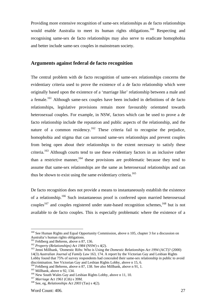Providing more extensive recognition of same-sex relationships as de facto relationships would enable Australia to meet its human rights obligations.<sup>160</sup> Respecting and recognising same-sex de facto relationships may also serve to eradicate homophobia and better include same-sex couples in mainstream society.

# **Arguments against federal de facto recognition**

The central problem with de facto recognition of same-sex relationships concerns the evidentiary criteria used to prove the existence of a de facto relationship which were originally based upon the existence of a 'marriage like' relationship between a male and a female.<sup>161</sup> Although same-sex couples have been included in definitions of de facto relationships, legislative provisions remain more favourably orientated towards heterosexual couples. For example, in NSW, factors which can be used to prove a de facto relationship include the reputation and public aspects of the relationship, and the nature of a common residency.<sup>162</sup> These criteria fail to recognise the prejudice, homophobia and stigma that can surround same-sex relationships and prevent couples from being open about their relationships to the extent necessary to satisfy these criteria.<sup>163</sup> Although courts tend to use these evidentiary factors in an inclusive rather than a restrictive manner,  $164$  these provisions are problematic because they tend to assume that same-sex relationships are the same as heterosexual relationships and can thus be shown to exist using the same evidentiary criteria.<sup>165</sup>

De facto recognition does not provide a means to instantaneously establish the existence of a relationship.166 Such instantaneous proof is conferred upon married heterosexual couples<sup>167</sup> and couples registered under state-based recognition schemes,  $168$  but is not available to de facto couples. This is especially problematic where the existence of a

<sup>&</sup>lt;sup>160</sup> See Human Rights and Equal Opportunity Commission, above n 105, chapter 3 for a discussion on Australia's human rights obligations.<br><sup>161</sup> Fehlberg and Behrens, above n 87, 136.

<sup>&</sup>lt;sup>162</sup> Property (Relationships) Act 1984 (NSW) s 4(2).<br><sup>163</sup> Jenni Millbank, 'Domestic Rifts: Who is Using the *Domestic Relationships Act 1994* (ACT)? (2000) 14(3) *Australian Journal of Family Law* 163, 174. A report by the Victorian Gay and Lesbian Rights Lobby found that 75% of survey respondents had concealed their same-sex relationship in public to avoid

discrimination. See Victorian Gay and Lesbian Rights Lobby, above n 15, 6.<br><sup>164</sup> Fehlberg and Behrens, above n 87, 138. See also Millbank, above n 91, 1.

<sup>&</sup>lt;sup>165</sup> Millbank, above n 92, 134.<br><sup>166</sup> New South Wales Gay and Lesbian Rights Lobby, above n 11, 10.<br><sup>167</sup> *Marriage Act 1961* (Cth) s 39M.<br><sup>168</sup> See, eg, *Relationships Act 2003* (Tas) s 4(2).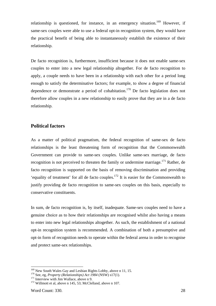relationship is questioned, for instance, in an emergency situation.<sup>169</sup> However, if same-sex couples were able to use a federal opt-in recognition system, they would have the practical benefit of being able to instantaneously establish the existence of their relationship.

De facto recognition is, furthermore, insufficient because it does not enable same-sex couples to enter into a new legal relationship altogether. For de facto recognition to apply, a couple needs to have been in a relationship with each other for a period long enough to satisfy the determinative factors; for example, to show a degree of financial dependence or demonstrate a period of cohabitation.<sup>170</sup> De facto legislation does not therefore allow couples in a new relationship to easily prove that they are in a de facto relationship.

# **Political factors**

As a matter of political pragmatism, the federal recognition of same-sex de facto relationships is the least threatening form of recognition that the Commonwealth Government can provide to same-sex couples. Unlike same-sex marriage, de facto recognition is not perceived to threaten the family or undermine marriage.<sup>171</sup> Rather, de facto recognition is supported on the basis of removing discrimination and providing 'equality of treatment' for all de facto couples.<sup>172</sup> It is easier for the Commonwealth to justify providing de facto recognition to same-sex couples on this basis, especially to conservative constituents.

In sum, de facto recognition is, by itself, inadequate. Same-sex couples need to have a genuine choice as to how their relationships are recognised whilst also having a means to enter into new legal relationships altogether. As such, the establishment of a national opt-in recognition system is recommended. A combination of both a presumptive and opt-in form of recognition needs to operate within the federal arena in order to recognise and protect same-sex relationships.

<sup>&</sup>lt;sup>169</sup> New South Wales Gay and Lesbian Rights Lobby, above n 11, 15.<br><sup>170</sup> See, eg, *Property (Relationships) Act 1984* (NSW) s17(1).<br><sup>171</sup> Interview with Jim Wallace, above n 9.<br><sup>172</sup> Willmott et al. above n 145, 53; McCl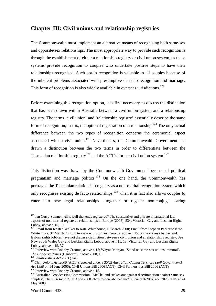# **Chapter III: Civil unions and relationship registries**

The Commonwealth must implement an alternative means of recognising both same-sex and opposite-sex relationships. The most appropriate way to provide such recognition is through the establishment of either a relationship registry or civil union system, as these systems provide recognition to couples who undertake positive steps to have their relationships recognised. Such opt-in recognition is valuable to all couples because of the inherent problems associated with presumptive de facto recognition and marriage. This form of recognition is also widely available in overseas jurisdictions.<sup>173</sup>

Before examining this recognition option, it is first necessary to discuss the distinction that has been drawn within Australia between a civil union system and a relationship registry. The terms 'civil union' and 'relationship registry' essentially describe the same form of recognition; that is, the optional registration of a relationship.<sup>174</sup> The only actual difference between the two types of recognition concerns the ceremonial aspect associated with a civil union.<sup>175</sup> Nevertheless, the Commonwealth Government has drawn a distinction between the two terms in order to differentiate between the Tasmanian relationship registry<sup>176</sup> and the ACT's former civil union system.<sup>177</sup>

This distinction was drawn by the Commonwealth Government because of political pragmatism and marriage politics.<sup>178</sup> On the one hand, the Commonwealth has portrayed the Tasmanian relationship registry as a non-marital recognition system which only recognises existing de facto relationships,  $179$  when it in fact also allows couples to enter into new legal relationships altogether or register non-conjugal caring

<sup>&</sup>lt;sup>173</sup> Ian Curry-Sumner, All's well that ends registered? The substantive and private international law aspects of non-marital registered relationships in Europe (2005), 534; Victorian Gay and Lesbian Rights Lobby, above n 15, 16.

<sup>&</sup>lt;sup>174</sup> Email from Kristen Walker to Kate Whitehouse, 19 March 2008; Email from Stephen Parker to Kate Whitehouse, 31 March 2008; Interview with Rodney Croome, above n 15. Some surveys by gay and lesbian rights lobbies have not drawn a distinction between a civil union and a relationships registry. See New South Wales Gay and Lesbian Rights Lobby, above n 11, 13; Victorian Gay and Lesbian Rights Lobby, above n 15, 37.<br><sup>175</sup> Interview with Rodney Croome, above n 15; Wayne Morgan, 'Stand on same-sex unions immoral',

*The Canberra Times (Canberra), 2 May 2008, 13.* 176 *Relationships Act 2003 (Tas).* 176 *Relationships Act 2003 (Tas).* 177*Civil Unions Act 2006 (ACT) (repealed under s 35(2) <i>Australian Capital Territory (Self Governmen* 

*Act 1988* on 14 June 2006); Civil Unions Bill 2006 (ACT); Civil Partnerships Bill 2006 (ACT). 178 Interview with Rodney Croome, above n 15.

<sup>&</sup>lt;sup>179</sup> Australian Broadcasting Commission, 'McClelland strikes out against discrimination against same sex couples', *The 7:30 Report*, 30 April 2008 <http://www.abc.net.au/7.30/content/2007/s2232028.htm> at 24 May 2008.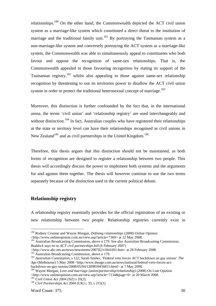relationships.<sup>180</sup> On the other hand, the Commonwealth depicted the ACT civil union system as a marriage-like system which constituted a direct threat to the institution of marriage and the traditional family unit.<sup>181</sup> By portraying the Tasmanian system as a non-marriage-like system and conversely portraying the ACT system as a marriage-like system, the Commonwealth was able to simultaneously appeal to constituents who both favour and oppose the recognition of same-sex relationships. That is, the Commonwealth appealed to those favouring recognition by stating its support of the Tasmanian registry, $182$  whilst also appealing to those against same-sex relationship recognition by threatening to use its territories power to disallow the ACT civil union system in order to protect the traditional heterosexual concept of marriage.<sup>183</sup>

Moreover, this distinction is further confounded by the fact that, in the international arena, the terms 'civil union' and 'relationship registry' are used interchangeably and without distinction.<sup>184</sup> In fact, Australian couples who have registered their relationships at the state or territory level can have their relationships recognised as civil unions in New Zealand<sup>185</sup> and as civil partnerships in the United Kingdom.<sup>186</sup>

Therefore, this thesis argues that this distinction should not be maintained, as both forms of recognition are designed to register a relationship between two people. This thesis will accordingly discuss the power to implement both systems and the arguments for and against them together. The thesis will however continue to use the two terms separately because of the distinction used in the current political debate.

# **Relationship registry**

A relationship registry essentially provides for the official registration of an existing or new relationship between two people. Relationship registries currently exist in

<sup>180</sup> Rodney Croome and Wayne Morgan, *Defining relationships* (2008) Online Opinion <http://www.onlineopinion.com.au/view.asp?article=7369> at 22 May 2008.

<sup>&</sup>lt;sup>181</sup> Australian Broadcasting Commission, above n 179. See also Australian Broadcasting Commission, *Ruddock says no to ACT civil partnerships bill* (6 February 2007)

http://www.abc.net.au/news/newsitems/200702/s1841691.htm> at 28 February 2008.<br><sup>182</sup> Australian Broadcasting Commission, above n 179.<br><sup>183</sup> Australian Constitution, s 122; Sarah Smiles, 'Federal veto forces ACT backdown on Age (Melbourne) 5 May 2008 <http://www.theage.com.au/news/national/federal-veto-forces-actbackdown-on-gay-unions/2008/05/04/1209839456815.html> at 7 May 2008.

<sup>&</sup>lt;sup>184</sup> Wayne Morgan, *Love and marriage (union/partnership/relationship)* (2008) On Line Opinion <http://www.onlineopinion.com.au/view.asp?article=7134&page=0> at 20 March 2008. 185 *Civil Union Act 2004* (NZ) s 35(2). 186 *Civil Partnerships Act 2004* (UK) c 33, s 215(1).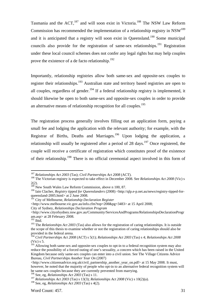Tasmania and the  $ACT<sup>187</sup>$  and will soon exist in Victoria.<sup>188</sup> The NSW Law Reform Commission has recommended the implementation of a relationship registry in NSW<sup>189</sup> and it is anticipated that a registry will soon exist in Queensland.<sup>190</sup> Some municipal councils also provide for the registration of same-sex relationships.<sup>191</sup> Registration under these local council schemes does not confer any legal rights but may help couples prove the existence of a de facto relationship.<sup>192</sup>

Importantly, relationship registries allow both same-sex and opposite-sex couples to register their relationships.<sup>193</sup> Australian state and territory based registries are open to all couples, regardless of gender.<sup>194</sup> If a federal relationship registry is implemented, it should likewise be open to both same-sex and opposite-sex couples in order to provide an alternative means of relationship recognition for all couples.<sup>195</sup>

The registration process generally involves filling out an application form, paying a small fee and lodging the application with the relevant authority; for example, with the Registrar of Births, Deaths and Marriages.<sup>196</sup> Upon lodging the application, a relationship will usually be registered after a period of 28 days.<sup>197</sup> Once registered, the couple will receive a certificate of registration which constitutes proof of the existence of their relationship.198 There is no official ceremonial aspect involved in this form of

<sup>&</sup>lt;sup>187</sup> *Relationships Act 2003* (Tas); *Civil Partnerships Act 2008* (ACT).<br><sup>188</sup> The Victorian registry is expected to take effect in December 2008. See *Relationships Act 2008* (Vic) s 2(2).

<sup>&</sup>lt;sup>189</sup> New South Wales Law Reform Commission, above n 100, 87.

<sup>190</sup> Iain Clacher, *Registry tipped for Queenslanders* (2008) <http://qlp.e-p.net.au/news/registry-tipped-forqueensland-2005.html> at 2 June 2008.

<sup>191</sup> City of Melbourne, *Relationship Declaration Register*

<sup>&</sup>lt;http://www.melbourne.vic.gov.au/info.cfm?top=208&pg=3483> at 15 April 2008; City of Sydney, *Relationships Declaration Program*

<sup>&</sup>lt;http://www.cityofsydney.nsw.gov.au/Community/ServicesAndPrograms/RelationshipsDeclarationProgr am.asp> at 28 February 2008. 192 Ibid.

<sup>&</sup>lt;sup>193</sup> The *Relationships Act 2003* (Tas) also allows for the registration of caring relationships. It is outside the scope of this thesis to examine whether or not the registration of caring relationships should also be provided in the federal arena.

<sup>194</sup> *Civil Partnerships Act 2008* (ACT) s 5(1); *Relationships Act 2003* (Tas) s 4; *Relationships Act 2008*  (Vic) s 5.

<sup>&</sup>lt;sup>195</sup> Allowing both same-sex and opposite-sex couples to opt-in to a federal recognition system may also reduce the possibility of a forced outing of one's sexuality, a concern which has been raised in the United Kingdom because only same-sex couples can enter into a civil union. See The Village Citizens Advice Bureau, *Civil Partnerships Another Year On* (2007)

<sup>&</sup>lt;http://www.citizensadvice.org.uk/civil\_partnership\_another\_year\_on.pdf> at 15 May 2008. It must, however, be noted that the majority of people who opt-in to an alternative federal recognition system will be same-sex couples because they are currently prevented from marrying.

<sup>196</sup> See, eg, *Relationships Act 2003* (Tas) s 11.

<sup>197</sup> *Relationships Act 2003* (Tas) s 13(3); *Relationships Act 2008* (Vic) s 10(2)(a).

<sup>198</sup> See, eg, *Relationships Act 2003* (Tas) s 4(2).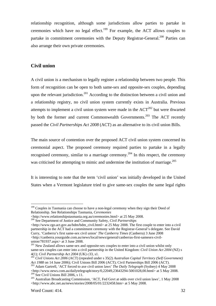relationship recognition, although some jurisdictions allow parties to partake in ceremonies which have no legal effect.<sup>199</sup> For example, the ACT allows couples to partake in commitment ceremonies with the Deputy Registrar-General.<sup>200</sup> Parties can also arrange their own private ceremonies.

# **Civil union**

A civil union is a mechanism to legally register a relationship between two people. This form of recognition can be open to both same-sex and opposite-sex couples, depending upon the relevant jurisdiction.<sup>201</sup> According to the distinction between a civil union and a relationship registry, no civil union system currently exists in Australia. Previous attempts to implement a civil union system were made in the  $ACT<sup>202</sup>$  but were thwarted by both the former and current Commonwealth Governments.<sup>203</sup> The ACT recently passed the *Civil Partnerships Act 2008* (ACT) as an alternative to its civil union Bills.

The main source of contention over the proposed ACT civil union system concerned its ceremonial aspect. The proposed ceremony required parties to partake in a legally recognised ceremony, similar to a marriage ceremony.204 In this respect, the ceremony was criticised for attempting to mimic and undermine the institution of marriage.<sup>205</sup>

It is interesting to note that the term 'civil union' was initially developed in the United States when a Vermont legislature tried to give same-sex couples the same legal rights

<sup>&</sup>lt;sup>199</sup> Couples in Tasmania can choose to have a non-legal ceremony when they sign their Deed of Relationship. See Relationships Tasmania, *Ceremonies*

<sup>&</sup>lt;http://www.relationshipstasmania.org.au/ceremonies.html> at 25 May 2008.

<sup>200</sup> See Department of Justice and Community Safety, *Civil Partnerships* 

<sup>&</sup>lt;http://www.rgo.act.gov.au/bdm/bdm\_civil.html> at 25 May 2008. The first couple to enter into a civil partnership in the ACT had a commitment ceremony with the Registrar-General's delegate. See David Curry, 'Canberra's first same-sex civil union' *The Canberra Times* (Canberra) 3 June 2008 <http://canberra.yourguide.com.au/news/local/news/general/canberras-first-samesex-civilunion/781937.aspx> at 3 June 2008.

<sup>&</sup>lt;sup>201</sup> New Zealand allows same-sex and opposite-sex couples to enter into a civil union whilst only same-sex couples can enter into a civil partnership in the United Kingdom: *Civil Union Act 2004* (NZ) s

<sup>4(1);</sup> *Civil Partnership Act 2004* (UK) c33, s1. 202 *Civil Unions Act 2006* (ACT) (repealed under s 35(2) *Australian Capital Territory (Self Government) Act 1988* on 14 June 2006); Civil Unions Bill 2006 (ACT); Civil Partnerships Bill 2006 (ACT). 203 Adam Gartrell, 'ACT forced to axe civil union laws' *The Daily Telegraph* (Sydney) 4 May 2008

 $\frac{\text{chtp:}}{204}$  See Civil Unions Bill 2006, s 11.<br><sup>204</sup> See Civil Unions Bill 2006, s 11.<br><sup>205</sup> Australian Broadcasting Commission, 'ACT, Fed Govt at odds over civil union laws', 1 May 2008.

<sup>&</sup>lt;http://www.abc.net.au/news/stories/2008/05/01/2232458.htm> at 5 May 2008.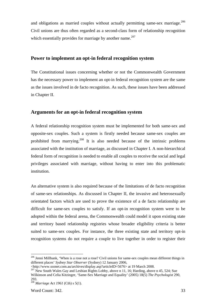and obligations as married couples without actually permitting same-sex marriage.<sup>206</sup> Civil unions are thus often regarded as a second-class form of relationship recognition which essentially provides for marriage by another name.<sup>207</sup>

# **Power to implement an opt-in federal recognition system**

The Constitutional issues concerning whether or not the Commonwealth Government has the necessary power to implement an opt-in federal recognition system are the same as the issues involved in de facto recognition. As such, these issues have been addressed in Chapter II.

# **Arguments for an opt-in federal recognition system**

A federal relationship recognition system must be implemented for both same-sex and opposite-sex couples. Such a system is firstly needed because same-sex couples are prohibited from marrying.<sup>208</sup> It is also needed because of the intrinsic problems associated with the institution of marriage, as discussed in Chapter I. A non-hierarchical federal form of recognition is needed to enable all couples to receive the social and legal privileges associated with marriage, without having to enter into this problematic institution.

An alternative system is also required because of the limitations of de facto recognition of same-sex relationships. As discussed in Chapter II, the invasive and heterosexually orientated factors which are used to prove the existence of a de facto relationship are difficult for same-sex couples to satisfy. If an opt-in recognition system were to be adopted within the federal arena, the Commonwealth could model it upon existing state and territory based relationship registries whose broader eligibility criteria is better suited to same-sex couples. For instance, the three existing state and territory opt-in recognition systems do not require a couple to live together in order to register their

<sup>&</sup>lt;sup>206</sup> Jenni Millbank, 'When is a rose not a rose? Civil unions for same-sex couples mean different things in different places' *Sydney Star Observer* (Sydney) 12 January 2006,<br><http://www.ssonet.com.au/archives/display.asp?articleID=5676> at 19 March 2008.

 $\frac{207}{207}$  New South Wales Gay and Lesbian Rights Lobby, above n 11, 16; Harding, above n 45, 524; Sue Wilkinson and Celia Kitzinger, 'Same-Sex Marriage and Equality' (2005) 18(5) *The Psychologist* 290, 293.

<sup>208</sup> *Marriage Act 1961* (Cth) s 5(1).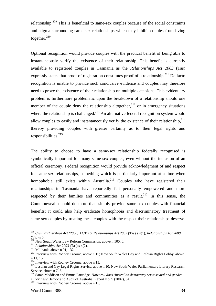relationship.<sup>209</sup> This is beneficial to same-sex couples because of the social constraints and stigma surrounding same-sex relationships which may inhibit couples from living together. $210$ 

Optional recognition would provide couples with the practical benefit of being able to instantaneously verify the existence of their relationship. This benefit is currently available to registered couples in Tasmania as the *Relationships Act 2003* (Tas) expressly states that proof of registration constitutes proof of a relationship.<sup>211</sup> De facto recognition is unable to provide such conclusive evidence and couples may therefore need to prove the existence of their relationship on multiple occasions. This evidentiary problem is furthermore problematic upon the breakdown of a relationship should one member of the couple deny the relationship altogether,  $2^{12}$  or in emergency situations where the relationship is challenged.<sup>213</sup> An alternative federal recognition system would allow couples to easily and instantaneously verify the existence of their relationship,  $2^{14}$ thereby providing couples with greater certainty as to their legal rights and responsibilities. $215$ 

The ability to choose to have a same-sex relationship federally recognised is symbolically important for many same-sex couples, even without the inclusion of an official ceremony. Federal recognition would provide acknowledgment of and respect for same-sex relationships, something which is particularly important at a time when homophobia still exists within Australia.<sup>216</sup> Couples who have registered their relationships in Tasmania have reportedly felt personally empowered and more respected by their families and communities as a result.<sup>217</sup> In this sense, the Commonwealth could do more than simply provide same-sex couples with financial benefits; it could also help eradicate homophobia and discriminatory treatment of same-sex couples by treating these couples with the respect their relationships deserve.

<sup>209</sup> *Civil Partnerships Act (2008)* ACT s 6; *Relationships Act 2003* (Tas) s 4(1); *Relationships Act 2008*  (Vic) s 5.<br><sup>210</sup> New South Wales Law Reform Commission, above n 100, 6.

<sup>&</sup>lt;sup>211</sup> Relationships Act 2003 (Tas) s 4(2).<br><sup>212</sup> Millbank, above n 91, 132.<br><sup>213</sup> Interview with Rodney Croome, above n 15; New South Wales Gay and Lesbian Rights Lobby, above n 11, 15.

<sup>&</sup>lt;sup>214</sup> Interview with Rodney Croome, above n 15.<br><sup>215</sup> Lesbian and Gay Legal Rights Service, above n 10; New South Wales Parliamentary Library Research Service, above n 7, 5.

<sup>216</sup> Sarah Maddison and Emma Partridge, *How well does Australian democracy serve sexual and gender minorities?* Democratic Audit of Australia, Report No. 9 (2007), 34. <sup>217</sup> Interview with Rodney Croome, above n 15.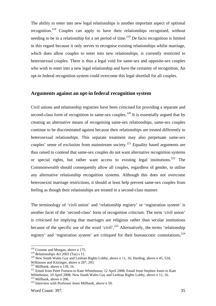The ability to enter into new legal relationships is another important aspect of optional recognition.<sup>218</sup> Couples can apply to have their relationships recognised, without needing to be in a relationship for a set period of time.<sup>219</sup> De facto recognition is limited in this regard because it only serves to recognise existing relationships whilst marriage, which does allow couples to enter into new relationships, is currently restricted to heterosexual couples. There is thus a legal void for same-sex and opposite-sex couples who wish to enter into a new legal relationship and have the certainty of recognition. An opt-in federal recognition system could overcome this legal shortfall for all couples.

## **Arguments against an opt-in federal recognition system**

Civil unions and relationship registries have been criticised for providing a separate and second-class form of recognition to same-sex couples.<sup>220</sup> It is essentially argued that by creating an alternative means of recognising same-sex relationships, same-sex couples continue to be discriminated against because their relationships are treated differently to heterosexual relationships. This separate treatment may also perpetuate same-sex couples' sense of exclusion from mainstream society.<sup>221</sup> Equality based arguments are thus raised to contend that same-sex couples do not want alternative recognition systems or special rights, but rather want access to existing legal institutions.<sup>222</sup> The Commonwealth should consequently allow all couples, regardless of gender, to utilise any alternative relationship recognition systems. Although this does not overcome heterosexist marriage restrictions, it should at least help prevent same-sex couples from feeling as though their relationships are treated in a second-class manner.

The terminology of 'civil union' and 'relationship registry' or 'registration system' is another facet of the 'second-class' form of recognition criticism. The term 'civil union' is criticised for implying that marriages are religious rather than secular institutions because of the specific use of the word 'civil'.<sup>223</sup> Alternatively, the terms 'relationship registry' and 'registration system' are critiqued for their bureaucratic connotations,  $224$ 

<sup>&</sup>lt;sup>218</sup> Croome and Morgan, above n 175.<br><sup>219</sup> Relationships Act 2003 (Tas) s 11.

<sup>&</sup>lt;sup>220</sup> New South Wales Gay and Lesbian Rights Lobby, above n 11, 16; Harding, above n 45, 524;

Wilkinson and Kitzinger, above n 207, 293.<br><sup>221</sup> Millbank, above n 139, 16.

<sup>&</sup>lt;sup>222</sup> Email from Peter Furness to Kate Whitehouse, 12 April 2008; Email from Stephen Jones to Kate Whitehouse, 10 April 2008; New South Wales Gay and Lesbian Rights Lobby, above n 11, 16.

 $224$  Interview with Professor Jenni Millbank, above n 50.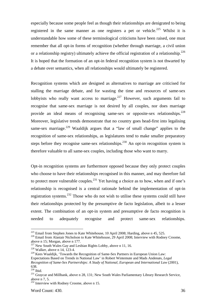especially because some people feel as though their relationships are denigrated to being registered in the same manner as one registers a pet or vehicle.<sup>225</sup> Whilst it is understandable how some of these terminological criticisms have been raised, one must remember that all opt-in forms of recognition (whether through marriage, a civil union or a relationship registry) ultimately achieve the official registration of a relationship.<sup>226</sup> It is hoped that the formation of an opt-in federal recognition system is not thwarted by a debate over semantics, when all relationships would ultimately be registered.

Recognition systems which are designed as alternatives to marriage are criticised for stalling the marriage debate, and for wasting the time and resources of same-sex lobbyists who really want access to marriage.<sup>227</sup> However, such arguments fail to recognise that same-sex marriage is not desired by all couples, nor does marriage provide an ideal means of recognising same-sex or opposite-sex relationships.<sup>228</sup> Moreover, legislative trends demonstrate that no country goes head-first into legalising same-sex marriage.<sup>229</sup> Waaldijk argues that a "law of small change" applies to the recognition of same-sex relationships, as legislatures tend to make smaller preparatory steps before they recognise same-sex relationships.<sup>230</sup> An opt-in recognition system is therefore valuable to all same-sex couples, including those who want to marry.

Opt-in recognition systems are furthermore opposed because they only protect couples who choose to have their relationships recognised in this manner, and may therefore fail to protect more vulnerable couples.<sup>231</sup> Yet having a choice as to how, when and if one's relationship is recognised is a central rationale behind the implementation of opt-in registration systems.232 Those who do not wish to utilise these systems could still have their relationships protected by the presumptive de facto legislation, albeit to a lesser extent. The combination of an opt-in system and presumptive de facto recognition is needed to adequately recognise and protect same-sex relationships.

<sup>&</sup>lt;sup>225</sup> Email from Stephen Jones to Kate Whitehouse, 10 April 2008; Harding, above n 45, 525.<br><sup>226</sup> Email from Alastair Nicholson to Kate Whitehouse, 29 April 2008; Interview with Rodney Croome,

above n 15; Morgan, above n 177.

<sup>&</sup>lt;sup>227</sup> New South Wales Gay and Lesbian Rights Lobby, above n 11, 16. <sup>228</sup> Walker, above n 14, 123-4.

<sup>&</sup>lt;sup>229</sup> Kees Waaldijk, 'Towards the Recognition of Same-Sex Partners in European Union Law: Expectations Based on Trends in National Law' in Robert Wintemute and Mads Andenæs, *Legal Recognition of Same-Sex Partnerships: A Study of National, European and International Law* (2001),  $638.$ <sup>230</sup> Ibid.

<sup>&</sup>lt;sup>231</sup> Graycar and Millbank, above n 28, 131; New South Wales Parliamentary Library Research Service, above n 7, 5.

 $232$  Interview with Rodney Croome, above n 15.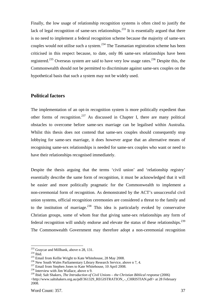Finally, the low usage of relationship recognition systems is often cited to justify the lack of legal recognition of same-sex relationships.<sup>233</sup> It is essentially argued that there is no need to implement a federal recognition scheme because the majority of same-sex couples would not utilise such a system.<sup>234</sup> The Tasmanian registration scheme has been criticised in this respect because, to date, only 86 same-sex relationships have been registered.<sup>235</sup> Overseas system are said to have very low usage rates.<sup>236</sup> Despite this, the Commonwealth should not be permitted to discriminate against same-sex couples on the hypothetical basis that such a system may not be widely used.

# **Political factors**

The implementation of an opt-in recognition system is more politically expedient than other forms of recognition.<sup>237</sup> As discussed in Chapter I, there are many political obstacles to overcome before same-sex marriage can be legalised within Australia. Whilst this thesis does not contend that same-sex couples should consequently stop lobbying for same-sex marriage, it does however argue that an alternative means of recognising same-sex relationships is needed for same-sex couples who want or need to have their relationships recognised immediately.

Despite the thesis arguing that the terms 'civil union' and 'relationship registry' essentially describe the same form of recognition, it must be acknowledged that it will be easier and more politically pragmatic for the Commonwealth to implement a non-ceremonial form of recognition. As demonstrated by the ACT's unsuccessful civil union systems, official recognition ceremonies are considered a threat to the family and to the institution of marriage.<sup>238</sup> This idea is particularly evoked by conservative Christian groups, some of whom fear that giving same-sex relationships any form of federal recognition will unduly endorse and elevate the status of these relationships.<sup>239</sup> The Commonwealth Government may therefore adopt a non-ceremonial recognition

<sup>&</sup>lt;sup>233</sup> Graycar and Millbank, above n 28, 131.<br><sup>234</sup> Ibid.<br><sup>235</sup> Email from Kellie Wright to Kate Whitehouse, 28 May 2008.<br><sup>236</sup> New South Wales Parliamentary Library Research Service, above n 7, 4.<br><sup>237</sup> Email from Stephen

<sup>239</sup> Ibid; Salt Shakers, *The Introduction of Civil Unions – the Christian Biblical response* (2006) <http://www.saltshakers.org.au/pdf/361329\_REGISTRATION\_-\_CHRISTIAN.pdf> at 28 February 2008.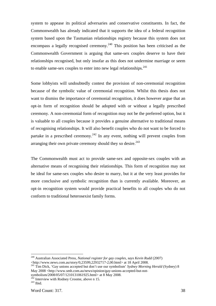system to appease its political adversaries and conservative constituents. In fact, the Commonwealth has already indicated that it supports the idea of a federal recognition system based upon the Tasmanian relationships registry because this system does not encompass a legally recognised ceremony.<sup>240</sup> This position has been criticised as the Commonwealth Government is arguing that same-sex couples deserve to have their relationships recognised, but only insofar as this does not undermine marriage or seem to enable same-sex couples to enter into new legal relationships. $241$ 

Some lobbyists will undoubtedly contest the provision of non-ceremonial recognition because of the symbolic value of ceremonial recognition. Whilst this thesis does not want to dismiss the importance of ceremonial recognition, it does however argue that an opt-in form of recognition should be adopted with or without a legally prescribed ceremony. A non-ceremonial form of recognition may not be the preferred option, but it is valuable to all couples because it provides a genuine alternative to traditional means of recognising relationships. It will also benefit couples who do not want to be forced to partake in a prescribed ceremony.<sup>242</sup> In any event, nothing will prevent couples from arranging their own private ceremony should they so desire. $243$ 

The Commonwealth must act to provide same-sex and opposite-sex couples with an alternative means of recognising their relationships. This form of recognition may not be ideal for same-sex couples who desire to marry, but it at the very least provides for more conclusive and symbolic recognition than is currently available. Moreover, an opt-in recognition system would provide practical benefits to all couples who do not conform to traditional heterosexist family forms.

<sup>240</sup> Australian Associated Press, *National register for gay couples, says Kevin Rudd* (2007) <http://www.news.com.au/story/0,23599,22932717-2,00.html> at 18 April 2008. 241 Tim Dick, 'Gay unions accepted but don't use our symbolism' *Sydney Morning Herald* (Sydney) 8

May 2008 <http://www.smh.com.au/news/opinion/gay-unions-accepted-but-not-

symbolism/2008/05/07/1210131061925.html> at 8 May 2008.<br><sup>242</sup> Interview with Rodney Croome, above n 15.<br><sup>243</sup> Ibid.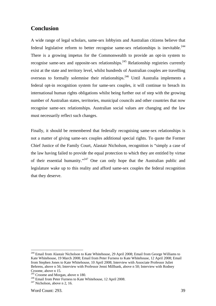# **Conclusion**

A wide range of legal scholars, same-sex lobbyists and Australian citizens believe that federal legislative reform to better recognise same-sex relationships is inevitable.<sup>244</sup> There is a growing impetus for the Commonwealth to provide an opt-in system to recognise same-sex and opposite-sex relationships.<sup>245</sup> Relationship registries currently exist at the state and territory level, whilst hundreds of Australian couples are travelling overseas to formally solemnise their relationships.<sup>246</sup> Until Australia implements a federal opt-in recognition system for same-sex couples, it will continue to breach its international human rights obligations whilst being further out of step with the growing number of Australian states, territories, municipal councils and other countries that now recognise same-sex relationships. Australian social values are changing and the law must necessarily reflect such changes.

Finally, it should be remembered that federally recognising same-sex relationships is not a matter of giving same-sex couples additional special rights. To quote the Former Chief Justice of the Family Court, Alastair Nicholson, recognition is "simply a case of the law having failed to provide the equal protection to which they are entitled by virtue of their essential humanity."247 One can only hope that the Australian public and legislature wake up to this reality and afford same-sex couples the federal recognition that they deserve.

<sup>&</sup>lt;sup>244</sup> Email from Alastair Nicholson to Kate Whitehouse, 29 April 2008; Email from George Williams to Kate Whitehouse, 19 March 2008; Email from Peter Furness to Kate Whitehouse, 12 April 2008; Email from Stephen Jones to Kate Whitehouse, 10 April 2008; Interview with Associate Professor Juliet Behrens, above n 56; Interview with Professor Jenni Millbank, above n 50; Interview with Rodney Croome, above n 15.<br><sup>245</sup> Croome and Morgan, above n 180.

<sup>&</sup>lt;sup>246</sup> Email from Peter Furness to Kate Whitehouse, 12 April 2008. <sup>247</sup> Nicholson, above n 2, 16.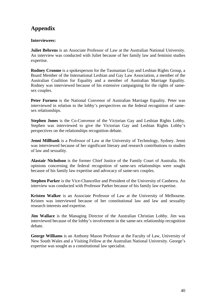# **Appendix**

# **Interviewees:**

**Juliet Behrens** is an Associate Professor of Law at the Australian National University. An interview was conducted with Juliet because of her family law and feminist studies expertise.

**Rodney Croome** is a spokesperson for the Tasmanian Gay and Lesbian Rights Group, a Board Member of the International Lesbian and Gay Law Association, a member of the Australian Coalition for Equality and a member of Australian Marriage Equality. Rodney was interviewed because of his extensive campaigning for the rights of samesex couples.

**Peter Furness** is the National Convenor of Australian Marriage Equality. Peter was interviewed in relation to the lobby's perspectives on the federal recognition of samesex relationships.

**Stephen Jones** is the Co-Convenor of the Victorian Gay and Lesbian Rights Lobby. Stephen was interviewed to give the Victorian Gay and Lesbian Rights Lobby's perspectives on the relationships recognition debate.

**Jenni Millbank** is a Professor of Law at the University of Technology, Sydney. Jenni was interviewed because of her significant literary and research contributions to studies of law and sexuality.

**Alastair Nicholson** is the former Chief Justice of the Family Court of Australia. His opinions concerning the federal recognition of same-sex relationships were sought because of his family law expertise and advocacy of same-sex couples.

**Stephen Parker** is the Vice-Chancellor and President of the University of Canberra. An interview was conducted with Professor Parker because of his family law expertise.

**Kristen Walker** is an Associate Professor of Law at the University of Melbourne. Kristen was interviewed because of her constitutional law and law and sexuality research interests and expertise.

**Jim Wallace** is the Managing Director of the Australian Christian Lobby. Jim was interviewed because of the lobby's involvement in the same-sex relationship recognition debate.

**George Williams** is an Anthony Mason Professor at the Faculty of Law, University of New South Wales and a Visiting Fellow at the Australian National University. George's expertise was sought as a constitutional law specialist.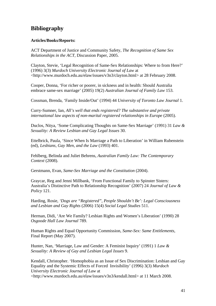# **Bibliography**

## **Articles/Books/Reports:**

ACT Department of Justice and Community Safety, *The Recognition of Same Sex Relationships in the ACT*, Discussion Paper, 2005.

Clayton, Stevie, 'Legal Recognition of Same-Sex Relationships: Where to from Here?' (1996) 3(3) *Murdoch University Electronic Journal of Law* at <http://www.murdoch.edu.au/elaw/issues/v3n3/clayton.html> at 28 February 2008.

Cooper, Donna, 'For richer or poorer, in sickness and in health: Should Australia embrace same-sex marriage' (2005) 19(2) *Australian Journal of Family Law* 153.

Cossman, Brenda, 'Family Inside/Out' (1994) 44 *University of Toronto Law Journal* 1.

Curry-Sumner, Ian, *All's well that ends registered? The substantive and private international law aspects of non-marital registered relationships in Europe* (2005).

Duclos, Nitya, 'Some Complicating Thoughts on Same-Sex Marriage' (1991) 31 *Law & Sexuality: A Review Lesbian and Gay Legal Issues* 30.

Ettelbrick, Paula, 'Since When Is Marriage a Path to Liberation' in William Rubenstein (ed), *Lesbians, Gay Men, and the Law* (1993) 401.

Fehlberg, Belinda and Juliet Behrens, *Australian Family Law: The Contemporary Context* (2008).

Gerstmann, Evan, *Same-Sex Marriage and the Constitution* (2004).

Graycar, Reg and Jenni Millbank, 'From Functional Family to Spinster Sisters: Australia's Distinctive Path to Relationship Recognition' (2007) 24 *Journal of Law & Policy* 121.

Harding, Rosie, *'Dogs are "Registered", People Shouldn't Be': Legal Consciousness and Lesbian and Gay Rights* (2006) 15(4) *Social Legal Studies* 511.

Herman, Didi, 'Are We Family? Lesbian Rights and Women's Liberation' (1990) 28 *Osgoode Hall Law Journal* 789.

Human Rights and Equal Opportunity Commission, *Same-Sex: Same Entitlements*, Final Report (May 2007).

Hunter, Nan, 'Marriage, Law and Gender: A Feminist Inquiry' (1991) 1 *Law & Sexuality: A Review of Gay and Lesbian Legal Issues* 9.

Kendall, Christopher. 'Homophobia as an Issue of Sex Discrimination: Lesbian and Gay Equality and the Systemic Effects of Forced Invisibility' (1996) 3(3) *Murdoch University Electronic Journal of Law* at <http://www.murdoch.edu.au/elaw/issues/v3n3/kendall.html> at 11 March 2008.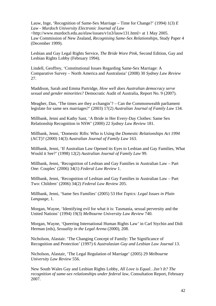Lauw, Inge, 'Recognition of Same-Sex Marriage – Time for Change?' (1994) 1(3) *E Law - Murdoch University Electronic Journal of Law* <http://www.murdoch.edu.au/elaw/issues/v1n3/lauw131.html> at 1 May 2005. Law Commission of New Zealand, *Recognising Same-Sex Relationships*, Study Paper 4 (December 1999).

Lesbian and Gay Legal Rights Service, *The Bride Wore Pink*, Second Edition, Gay and Lesbian Rights Lobby (February 1994).

Lindell, Geoffrey, 'Constitutional Issues Regarding Same-Sex Marriage: A Comparative Survey – North America and Australasia' (2008) 30 *Sydney Law Review*  27.

Maddison, Sarah and Emma Partridge, *How well does Australian democracy serve sexual and gender minorities?* Democratic Audit of Australia, Report No. 9 (2007).

Meagher, Dan, 'The times are they a-changin'? – Can the Commonwealth parliament legislate for same sex marriages?' (2003) 17(2) *Australian Journal of Family Law* 134.

Millbank, Jenni and Kathy Sant, 'A Bride in Her Every-Day Clothes: Same Sex Relationship Recognition in NSW' (2000) 22 *Sydney Law Review* 181.

Millbank, Jenni, 'Domestic Rifts: Who is Using the *Domestic Relationships Act 1994*  (ACT)? (2000) 14(3) *Australian Journal of Family Law* 163.

Millbank, Jenni, 'If Australian Law Opened its Eyes to Lesbian and Gay Families, What Would it See?' (1998) 12(2) *Australian Journal of Family Law* 99.

Millbank, Jenni, 'Recognition of Lesbian and Gay Families in Australian Law – Part One: Couples' (2006) 34(1) *Federal Law Review* 1.

Millbank, Jenni, 'Recognition of Lesbian and Gay Families in Australian Law – Part Two: Children' (2006) 34(2) *Federal Law Review* 205.

Millbank, Jenni, 'Same Sex Families' (2005) 53 *Hot Topics: Legal Issues in Plain Language*, 1.

Morgan, Wayne, 'Identifying evil for what it is: Tasmania, sexual perversity and the United Nations' (1994) 19(3) *Melbourne University Law Review* 740.

Morgan, Wayne, 'Queering International Human Rights Law' in Carl Stychin and Didi Herman (eds), *Sexuality in the Legal Arena* (2000), 208.

Nicholson, Alastair. 'The Changing Concept of Family: The Significance of Recognition and Protection' (1997) 6 *Australasian Gay and Lesbian Law Journal* 13.

Nicholson, Alastair, 'The Legal Regulation of Marriage' (2005) 29 *Melbourne University Law Review* 556.

New South Wales Gay and Lesbian Rights Lobby, *All Love is Equal…Isn't It? The recognition of same-sex relationships under federal law,* Consultation Report, February 2007.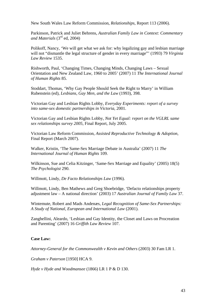New South Wales Law Reform Commission, *Relationships*, Report 113 (2006).

Parkinson, Patrick and Juliet Behrens, *Australian Family Law in Context: Commentary and Materials* (3rd ed, 2004)

Polikoff, Nancy, 'We will get what we ask for: why legalizing gay and lesbian marriage will not "dismantle the legal structure of gender in every marriage"' (1993) 79 *Virginia Law Review* 1535.

Rishworth, Paul, 'Changing Times, Changing Minds, Changing Laws – Sexual Orientation and New Zealand Law, 1960 to 2005' (2007) 11 *The International Journal of Human Rights* 85.

Stoddart, Thomas, 'Why Gay People Should Seek the Right to Marry' in William Rubenstein (ed), *Lesbians, Gay Men, and the Law* (1993), 398.

Victorian Gay and Lesbian Rights Lobby, *Everyday Experiments: report of a survey into same-sex domestic partnerships in Victoria*, 2001.

Victorian Gay and Lesbian Rights Lobby, *Not Yet Equal: report on the VGLRL same sex relationships survey 2005*, Final Report, July 2005.

Victorian Law Reform Commission, *Assisted Reproductive Technology & Adoption,*  Final Report (March 2007).

Walker, Kristin, 'The Same-Sex Marriage Debate in Australia' (2007) 11 *The International Journal of Human Rights* 109.

Wilkinson, Sue and Celia Kitzinger, 'Same-Sex Marriage and Equality' (2005) 18(5) *The Psychologist* 290.

Willmott, Lindy, *De Facto Relationships Law* (1996).

Willmott, Lindy, Ben Mathews and Greg Shoebridge, 'Defacto relationships property adjustment law – A national direction' (2003) 17 *Australian Journal of Family Law* 37.

Wintemute, Robert and Mads Andenæs, *Legal Recognition of Same-Sex Partnerships: A Study of National, European and International Law* (2001).

Zanghellini, Aleardo, 'Lesbian and Gay Identity, the Closet and Laws on Procreation and Parenting' (2007) 16 *Griffith Law Review* 107.

## **Case Law:**

*Attorney-General for the Commonwealth v Kevin and Others* (2003) 30 Fam LR 1.

*Graham v Paterson* [1950] HCA 9.

*Hyde v Hyde and Woodmansee* (1866) LR 1 P & D 130.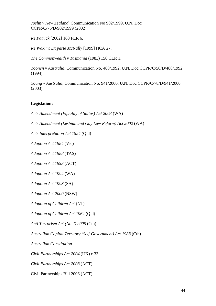*Joslin v New Zealand,* Communication No 902/1999, U.N. Doc CCPR/C/75/D/902/1999 (2002)**.** 

*Re Patrick* [2002] 168 FLR 6.

*Re Wakim; Ex parte McNally* [1999] HCA 27.

*The Commonwealth v Tasmania* (1983) 158 CLR 1.

*Toonen v Australia,* Communication No. 488/1992, U.N. Doc CCPR/C/50/D/488/1992 (1994).

*Young v Australia,* Communication No. 941/2000, U.N. Doc CCPR/C/78/D/941/2000 (2003).

## **Legislation:**

*Acts Amendment (Equality of Status) Act 2003* (WA)

*Acts Amendment (Lesbian and Gay Law Reform) Act 2002* (WA)

*Acts Interpretation Act 1954* (Qld)

*Adoption Act 1984* (Vic)

*Adoption Act 1988* (TAS)

*Adoption Act 1993* (ACT)

*Adoption Act 1994* (WA)

*Adoption Act 1998* (SA)

*Adoption Act 2000* (NSW)

*Adoption of Children Act* (NT)

*Adoption of Children Act 1964* (Qld)

*Anti Terrorism Act (No 2) 2005* (Cth)

*Australian Capital Territory (Self-Government) Act 1988* (Cth)

*Australian Constitution* 

*Civil Partnerships Act 2004* (UK) c 33

*Civil Partnerships Act 2008* (ACT)

Civil Partnerships Bill 2006 (ACT)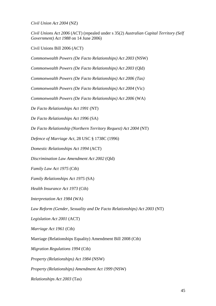*Civil Union Act 2004* (NZ)

*Civil Unions Act 2006* (ACT) (repealed under s 35(2) *Australian Capital Territory (Self Government) Act 1988* on 14 June 2006)

Civil Unions Bill 2006 (ACT)

*Commonwealth Powers (De Facto Relationships) Act 2003* (NSW)

*Commonwealth Powers (De Facto Relationships) Act 2003* (Qld)

*Commonwealth Powers (De Facto Relationships) Act 2006 (Tas)*

*Commonwealth Powers (De Facto Relationships) Act 2004* (Vic)

*Commonwealth Powers (De Facto Relationships) Act 2006* (WA)

*De Facto Relationships Act 1991* (NT)

*De Facto Relationships Act 1996* (SA)

*De Facto Relationship (Northern Territory Request) Act 2004* (NT)

*Defence of Marriage Act*, 28 USC § 1738C (1996)

*Domestic Relationships Act 1994* (ACT)

*Discrimination Law Amendment Act 2002* (Qld)

*Family Law Act 1975* (Cth)

*Family Relationships Act 1975* (SA)

*Health Insurance Act 1973* (Cth)

*Interpretation Act 1984* (WA)

*Law Reform (Gender, Sexuality and De Facto Relationships) Act 2003* (NT)

*Legislation Act 2001* (ACT)

*Marriage Act 1961* (Cth)

Marriage (Relationships Equality) Amendment Bill 2008 (Cth)

*Migration Regulations 1994* (Cth)

*Property (Relationships) Act 1984* (NSW)

*Property (Relationships) Amendment Act 1999* (NSW)

*Relationships Act 2003* (Tas)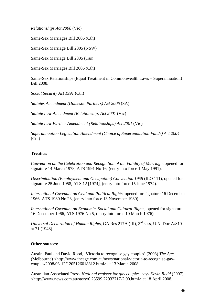*Relationships Act 2008* (Vic)

Same-Sex Marriages Bill 2006 (Cth)

Same-Sex Marriage Bill 2005 (NSW)

Same-Sex Marriage Bill 2005 (Tas)

Same-Sex Marriages Bill 2006 (Cth)

Same-Sex Relationships (Equal Treatment in Commonwealth Laws – Superannuation) Bill 2008.

*Social Security Act 1991* (Cth)

*Statutes Amendment (Domestic Partners) Act 2006* (SA)

*Statute Law Amendment (Relationship) Act 2001* (Vic)

*Statute Law Further Amendment (Relationships) Act 2001* (Vic)

*Superannuation Legislation Amendment (Choice of Superannuation Funds) Act 2004* (Cth)

#### **Treaties:**

*Convention on the Celebration and Recognition of the Validity of Marriage, opened for* signature 14 March 1978, ATS 1991 No 16, (entry into force 1 May 1991).

*Discrimination (Employment and Occupation) Convention 1958* (ILO 111), opened for signature 25 June 1958, ATS 12 [1974], (entry into force 15 June 1974).

*International Covenant on Civil and Political Rights,* opened for signature 16 December 1966, ATS 1980 No 23, (entry into force 13 November 1980).

*International Covenant on Economic, Social and Cultural Rights,* opened for signature 16 December 1966, ATS 1976 No 5, (entry into force 10 March 1976).

*Universal Declaration of Human Rights,* GA Res 217A (III), 3rd sess, U.N. Doc A/810 at 71 (1948).

#### **Other sources:**

Austin, Paul and David Rood, 'Victoria to recognise gay couples' (2008) *The Age*  (Melbourne) <http://www.theage.com.au/news/national/victoria-to-recognise-gaycouples/2008/03-12/1205126018812.html> at 13 March 2008.

Australian Associated Press, *National register for gay couples, says Kevin Rudd* (2007) <http://www.news.com.au/story/0,23599,22932717-2,00.html> at 18 April 2008.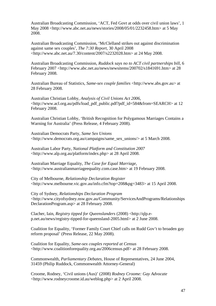Australian Broadcasting Commission, 'ACT, Fed Govt at odds over civil union laws', 1 May 2008 <http://www.abc.net.au/news/stories/2008/05/01/2232458.htm> at 5 May 2008.

Australian Broadcasting Commission, 'McClelland strikes out against discrimination against same sex couples', *The 7:30 Report*, 30 April 2008 <http://www.abc.net.au/7.30/content/2007/s2232028.htm> at 24 May 2008.

Australian Broadcasting Commission, *Ruddock says no to ACT civil partnerships bill*, 6 February 2007 <http://www.abc.net.au/news/newsitems/200702/s1841691.htm> at 28 February 2008.

Australian Bureau of Statistics, *Same-sex couple families* <http://www.abs.gov.au> at 28 February 2008.

Australian Christian Lobby, *Analysis of Civil Unions Act 2006*, <http://www.acl.org.au/pdfs/load\_pdf\_public.pdf?pdf\_id=584&from=SEARCH> at 12 February 2008.

Australian Christian Lobby, 'British Recognition for Polygamous Marriages Contains a Warning for Australia' (Press Release, 4 February 2008).

Australian Democrats Party, *Same Sex Unions* <http://www.democrats.org.au/campaigns/same\_sex\_unions/> at 5 March 2008.

Australian Labor Party, *National Platform and Constitution 2007* <http://www.alp.org.au/platform/index.php> at 28 April 2008.

Australian Marriage Equality, *The Case for Equal Marriage*, <http://www.australianmarriageequality.com.case.htm> at 19 February 2008.

City of Melbourne, *Relationship Declaration Register* <http://www.melbourne.vic.gov.au/info.cfm?top=208&pg=3483> at 15 April 2008.

City of Sydney, *Relationships Declaration Program* <http://www.cityofsydney.nsw.gov.au/Community/ServicesAndPrograms/Relationships DeclarationProgram.asp> at 28 February 2008.

Clacher, Iain, *Registry tipped for Queenslanders* (2008) <http://qlp.ep.net.au/news/registry-tipped-for-queensland-2005.html> at 2 June 2008.

Coalition for Equality, 'Former Family Court Chief calls on Rudd Gov't to broaden gay reform proposal' (Press Release, 22 May 2008).

Coalition for Equality, *Same-sex couples reported at Census* <http://www.coalitionforequality.org.au/2006census.pdf> at 28 February 2008.

Commonwealth, *Parliamentary Debates*, House of Representatives, 24 June 2004, 31459 (Philip Ruddock, Commonwealth Attorney-General)

Croome, Rodney, 'Civil unions (Aus)' (2008) *Rodney Croome: Gay Advocate* <http://www.rodneycroome.id.au/weblog.php> at 2 April 2008.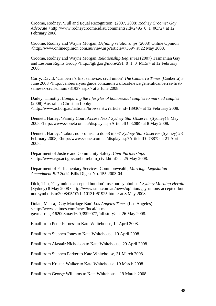Croome, Rodney, 'Full and Equal Recognition' (2007, 2008) *Rodney Croome: Gay Advocate* <http://www.rodneycroome.id.au/comments?id=2495\_0\_1\_0C72> at 12 February 2008.

Croome, Rodney and Wayne Morgan, *Defining relationships* (2008) Online Opinion <http://www.onlineopinion.com.au/view.asp?article=7369> at 22 May 2008.

Croome, Rodney and Wayne Morgan, *Relationship Registries* (2007) Tasmanian Gay and Lesbian Rights Group <http://tglrg.org/more/291\_0\_1\_0\_M15/ $>$  at 12 February 2008.

Curry, David, 'Canberra's first same-sex civil union' *The Canberra Times* (Canberra) 3 June 2008 <http://canberra.yourguide.com.au/news/local/news/general/canberras-firstsamesex-civil-union/781937.aspx> at 3 June 2008.

Dailey, Timothy, *Comparing the lifestyles of homosexual couples to married couples* (2008) Australian Christian Lobby <http://www.acl.org.au/national/browse.stw?article\_id=18936> at 12 February 2008.

Dennett, Harley, 'Family Court Access Next' *Sydney Star Observer* (Sydney) 8 May 2008 <http://www.ssonet.com.au/display.asp?ArticleID=8288> at 8 May 2008.

Dennett, Harley, 'Labor: no promise to do 58 in 08' *Sydney Star Observer* (Sydney) 28 February 2008, <http://www.ssonet.com.au/display.asp?ArticleID=7887> at 21 April 2008.

Department of Justice and Community Safety, *Civil Partnerships* <http://www.rgo.act.gov.au/bdm/bdm\_civil.html> at 25 May 2008.

Department of Parliamentary Services, Commonwealth, *Marriage Legislation Amendment Bill 2004*, Bills Digest No. 155 2003-04.

Dick, Tim, 'Gay unions accepted but don't use our symbolism' *Sydney Morning Herald*  (Sydney) 8 May 2008 <http://www.smh.com.au/news/opinion/gay-unions-accepted-butnot-symbolism/2008/05/07/1210131061925.html> at 8 May 2008.

Dolan, Maura, 'Gay Marriage Ban' *Los Angeles Times* (Los Angeles) <http://www.latimes.com/news/local/la-megaymarriage162008may16,0,3999077,full.story> at 26 May 2008.

Email from Peter Furness to Kate Whitehouse, 12 April 2008.

Email from Stephen Jones to Kate Whitehouse, 10 April 2008.

Email from Alastair Nicholson to Kate Whitehouse, 29 April 2008.

Email from Stephen Parker to Kate Whitehouse, 31 March 2008.

Email from Kristen Walker to Kate Whitehouse, 19 March 2008.

Email from George Williams to Kate Whitehouse, 19 March 2008.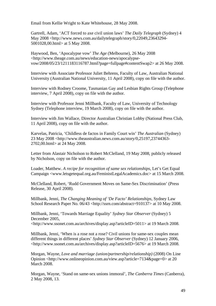Email from Kellie Wright to Kate Whitehouse, 28 May 2008.

Gartrell, Adam, 'ACT forced to axe civil union laws' *The Daily Telegraph* (Sydney) 4 May 2008 <http://www.news.com.au/dailytelegraph/story/0,22049,23643294- 5001028,00.html> at 5 May 2008.

Haywood, Ben, 'Apocalypse vow' *The Age* (Melbourne), 26 May 2008 <http://www.theage.com.au/news/education-news/apocalypsevow/2008/05/23/1211183116787.html?page=fullpage#contentSwap2> at 26 May 2008.

Interview with Associate Professor Juliet Behrens, Faculty of Law, Australian National University (Australian National University, 11 April 2008), copy on file with the author.

Interview with Rodney Croome, Tasmanian Gay and Lesbian Rights Group (Telephone interview, 7 April 2008), copy on file with the author.

Interview with Professor Jenni Millbank, Faculty of Law, University of Technology Sydney (Telephone interview, 19 March 2008), copy on file with the author.

Interview with Jim Wallace, Director Australian Christian Lobby (National Press Club, 11 April 2008), copy on file with the author.

Karvelas, Patricia, 'Childless de factos in Family Court win' *The Australian* (Sydney) 23 May 2008 <http://www.theaustralian.news.com.au/story/0,25197,23744363- 2702,00.html> at 24 May 2008.

Letter from Alastair Nicholson to Robert McClelland, 19 May 2008, publicly released by Nicholson, copy on file with the author.

Loader, Matthew. *A recipe for recognition of same sex relationships,* Let's Get Equal Campaign <www.letsgetequal.org.au/FeministLegalAcademics.doc> at 15 March 2008.

McClelland, Robert, 'Rudd Government Moves on Same-Sex Discrimination' (Press Release, 30 April 2008).

Millbank, Jenni, *The Changing Meaning of 'De Facto' Relationships*, Sydney Law School Research Paper No. 06/43 <http://ssrn.com/abstract=910137> at 10 May 2008.

Millbank, Jenni, 'Towards Marriage Equality' *Sydney Star Observer* (Sydney) 5 December 2005,

<http://www.ssonet.com.au/archives/display.asp?articleID=5011> at 19 March 2008.

Millbank, Jenni, 'When is a rose not a rose? Civil unions for same-sex couples mean different things in different places' *Sydney Star Observer* (Sydney) 12 January 2006, <http://www.ssonet.com.au/archives/display.asp?articleID=5676> at 19 March 2008.

Morgan, Wayne, *Love and marriage (union/partnership/relationship)* (2008) On Line Opinion <http://www.onlineopinion.com.au/view.asp?article=7134&page=0> at 20 March 2008.

Morgan, Wayne, 'Stand on same-sex unions immoral', *The Canberra Times* (Canberra), 2 May 2008, 13.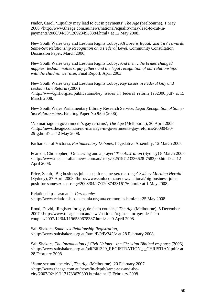Nador, Carol, 'Equality may lead to cut in payments' *The Age* (Melbourne), 1 May 2008 <http://www.theage.com.au/news/national/equality-may-lead-to-cut-inpayments/2008/04/30/1209234958384.html> at 12 May 2008.

New South Wales Gay and Lesbian Rights Lobby, *All Love is Equal…isn't it? Towards Same-Sex Relationship Recognition on a Federal Level*, Community Consultation Discussion Paper, March 2006.

New South Wales Gay and Lesbian Rights Lobby, *And then…the brides changed nappies: lesbian mothers, gay fathers and the legal recognition of our relationships with the children we raise*, Final Report, April 2003.

New South Wales Gay and Lesbian Rights Lobby, *Key Issues in Federal Gay and Lesbian Law Reform* (2006)

<http://www.glrl.org.au/publications/key\_issues\_in\_federal\_reform\_feb2006.pdf> at 15 March 2008.

New South Wales Parliamentary Library Research Service, *Legal Recognition of Same-Sex Relationships*, Briefing Paper No 9/06 (2006).

'No marriage in government's gay reforms', *The Age* (Melbourne), 30 April 2008 <http://news.theage.com.au/no-marriage-in-governments-gay-reforms/20080430- 29fg.html> at 12 May 2008.

Parliament of Victoria, *Parliamentary Debates*, Legislative Assembly, 12 March 2008.

Pearson, Christopher, 'On a swing and a prayer' *The Australian* (Sydney) 8 March 2008 <http://www.theaustralian.news.com.au/story/0,25197,23336628-7583,00.html> at 12 April 2008.

Price, Sarah, 'Big business joins push for same-sex marriage' *Sydney Morning Herald* (Sydney), 27 April 2008 <http://www.smh.com.au/news/national/big-business-joinspush-for-samesex-marriage/2008/04/27/1208743316176.html> at 1 May 2008.

Relationships Tasmania, *Ceremonies* <http://www.relationshipstasmania.org.au/ceremonies.html> at 25 May 2008.

Rood, David, 'Register for gay, de facto couples,' *The Age* (Melbourne), 5 December 2007 <http://www.theage.com.au/news/national/register-for-gay-de-factocouples/2007/12/04/1196530678387.html> at 9 April 2008.

Salt Shakers, *Same-sex Relationship Registration*, <http://www.saltshakers.org.au/html/P/9/B/342/> at 28 February 2008.

Salt Shakers, *The Introduction of Civil Unions – the Christian Biblical response* (2006) <http://www.saltshakers.org.au/pdf/361329\_REGISTRATION\_-\_CHRISTIAN.pdf> at 28 February 2008.

'Same sex and the city', *The Age* (Melbourne), 20 February 2007 <http://www.theage.com.au/news/in-depth/same-sex-and-thecity/2007/02/19/1171733679309.html#> at 12 February 2008.